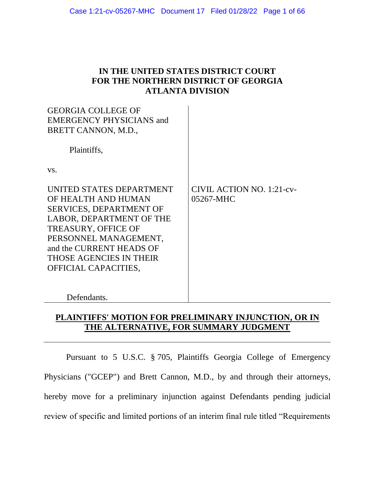## **IN THE UNITED STATES DISTRICT COURT FOR THE NORTHERN DISTRICT OF GEORGIA ATLANTA DIVISION**

| <b>GEORGIA COLLEGE OF</b><br><b>EMERGENCY PHYSICIANS and</b><br>BRETT CANNON, M.D.,                                                                                                                                                                        |                                               |
|------------------------------------------------------------------------------------------------------------------------------------------------------------------------------------------------------------------------------------------------------------|-----------------------------------------------|
| Plaintiffs,                                                                                                                                                                                                                                                |                                               |
| VS.                                                                                                                                                                                                                                                        |                                               |
| UNITED STATES DEPARTMENT<br>OF HEALTH AND HUMAN<br><b>SERVICES, DEPARTMENT OF</b><br>LABOR, DEPARTMENT OF THE<br><b>TREASURY, OFFICE OF</b><br>PERSONNEL MANAGEMENT,<br>and the CURRENT HEADS OF<br><b>THOSE AGENCIES IN THEIR</b><br>OFFICIAL CAPACITIES, | <b>CIVIL ACTION NO. 1:21-cv-</b><br>05267-MHC |
| Defendants.                                                                                                                                                                                                                                                |                                               |

# **PLAINTIFFS' MOTION FOR PRELIMINARY INJUNCTION, OR IN THE ALTERNATIVE, FOR SUMMARY JUDGMENT**

Pursuant to 5 U.S.C. § 705, Plaintiffs Georgia College of Emergency Physicians ("GCEP") and Brett Cannon, M.D., by and through their attorneys, hereby move for a preliminary injunction against Defendants pending judicial review of specific and limited portions of an interim final rule titled "Requirements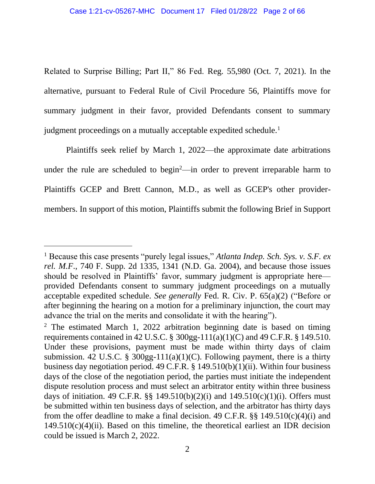Related to Surprise Billing; Part II," 86 Fed. Reg. 55,980 (Oct. 7, 2021). In the alternative, pursuant to Federal Rule of Civil Procedure 56, Plaintiffs move for summary judgment in their favor, provided Defendants consent to summary judgment proceedings on a mutually acceptable expedited schedule.<sup>1</sup>

Plaintiffs seek relief by March 1, 2022—the approximate date arbitrations under the rule are scheduled to begin<sup>2</sup>—in order to prevent irreparable harm to Plaintiffs GCEP and Brett Cannon, M.D., as well as GCEP's other providermembers. In support of this motion, Plaintiffs submit the following Brief in Support

<sup>1</sup> Because this case presents "purely legal issues," *Atlanta Indep. Sch. Sys. v. S.F. ex rel. M.F*., 740 F. Supp. 2d 1335, 1341 (N.D. Ga. 2004), and because those issues should be resolved in Plaintiffs' favor, summary judgment is appropriate here provided Defendants consent to summary judgment proceedings on a mutually acceptable expedited schedule. *See generally* Fed. R. Civ. P. 65(a)(2) ("Before or after beginning the hearing on a motion for a preliminary injunction, the court may advance the trial on the merits and consolidate it with the hearing").

 $2$  The estimated March 1, 2022 arbitration beginning date is based on timing requirements contained in 42 U.S.C. § 300gg-111(a)(1)(C) and 49 C.F.R. § 149.510. Under these provisions, payment must be made within thirty days of claim submission. 42 U.S.C. § 300gg-111(a)(1)(C). Following payment, there is a thirty business day negotiation period. 49 C.F.R. § 149.510(b)(1)(ii). Within four business days of the close of the negotiation period, the parties must initiate the independent dispute resolution process and must select an arbitrator entity within three business days of initiation. 49 C.F.R.  $\S$  149.510(b)(2)(i) and 149.510(c)(1)(i). Offers must be submitted within ten business days of selection, and the arbitrator has thirty days from the offer deadline to make a final decision. 49 C.F.R.  $\S$ § 149.510(c)(4)(i) and  $149.510(c)(4)(ii)$ . Based on this timeline, the theoretical earliest an IDR decision could be issued is March 2, 2022.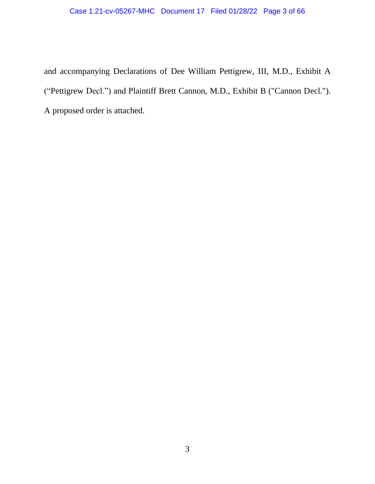# Case 1:21-cv-05267-MHC Document 17 Filed 01/28/22 Page 3 of 66

and accompanying Declarations of Dee William Pettigrew, III, M.D., Exhibit A ("Pettigrew Decl.") and Plaintiff Brett Cannon, M.D., Exhibit B ("Cannon Decl."). A proposed order is attached.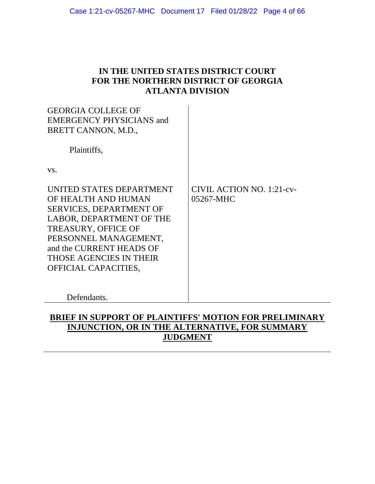## **IN THE UNITED STATES DISTRICT COURT FOR THE NORTHERN DISTRICT OF GEORGIA ATLANTA DIVISION**

| <b>GEORGIA COLLEGE OF</b><br><b>EMERGENCY PHYSICIANS and</b><br>BRETT CANNON, M.D.,                                                                                                                                                                        |                                               |
|------------------------------------------------------------------------------------------------------------------------------------------------------------------------------------------------------------------------------------------------------------|-----------------------------------------------|
| Plaintiffs,                                                                                                                                                                                                                                                |                                               |
| VS.                                                                                                                                                                                                                                                        |                                               |
| UNITED STATES DEPARTMENT<br>OF HEALTH AND HUMAN<br><b>SERVICES, DEPARTMENT OF</b><br>LABOR, DEPARTMENT OF THE<br><b>TREASURY, OFFICE OF</b><br>PERSONNEL MANAGEMENT,<br>and the CURRENT HEADS OF<br><b>THOSE AGENCIES IN THEIR</b><br>OFFICIAL CAPACITIES, | <b>CIVIL ACTION NO. 1:21-cv-</b><br>05267-MHC |
| Defendants.                                                                                                                                                                                                                                                |                                               |

# **BRIEF IN SUPPORT OF PLAINTIFFS' MOTION FOR PRELIMINARY INJUNCTION, OR IN THE ALTERNATIVE, FOR SUMMARY JUDGMENT**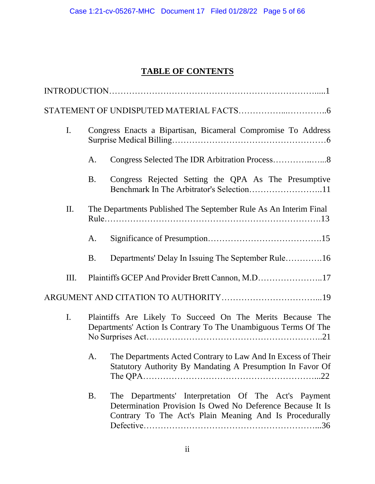# **TABLE OF CONTENTS**

| I.           |    | Congress Enacts a Bipartisan, Bicameral Compromise To Address                                                                                                                    |
|--------------|----|----------------------------------------------------------------------------------------------------------------------------------------------------------------------------------|
|              | A. |                                                                                                                                                                                  |
|              | B. | Congress Rejected Setting the QPA As The Presumptive                                                                                                                             |
| $\mathbf{I}$ |    | The Departments Published The September Rule As An Interim Final                                                                                                                 |
|              | А. |                                                                                                                                                                                  |
|              | B. | Departments' Delay In Issuing The September Rule16                                                                                                                               |
| Ш.           |    | Plaintiffs GCEP And Provider Brett Cannon, M.D17                                                                                                                                 |
|              |    |                                                                                                                                                                                  |
| I.           |    | Plaintiffs Are Likely To Succeed On The Merits Because The<br>Departments' Action Is Contrary To The Unambiguous Terms Of The                                                    |
|              | A. | The Departments Acted Contrary to Law And In Excess of Their<br>Statutory Authority By Mandating A Presumption In Favor Of                                                       |
|              | B. | Departments' Interpretation Of The Act's Payment<br>The<br>Determination Provision Is Owed No Deference Because It Is<br>Contrary To The Act's Plain Meaning And Is Procedurally |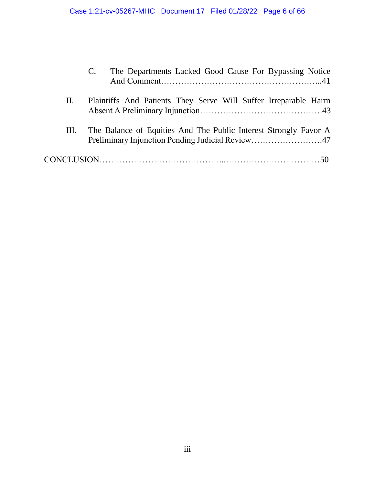|      | The Departments Lacked Good Cause For Bypassing Notice                                                               |
|------|----------------------------------------------------------------------------------------------------------------------|
| П.   | Plaintiffs And Patients They Serve Will Suffer Irreparable Harm                                                      |
| III. | The Balance of Equities And The Public Interest Strongly Favor A<br>Preliminary Injunction Pending Judicial Review47 |
|      |                                                                                                                      |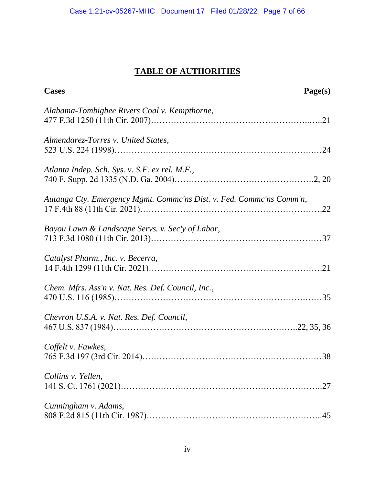# **TABLE OF AUTHORITIES**

| <b>Cases</b>                                                         | Page(s) |
|----------------------------------------------------------------------|---------|
| Alabama-Tombigbee Rivers Coal v. Kempthorne,                         |         |
| Almendarez-Torres v. United States,                                  |         |
| Atlanta Indep. Sch. Sys. v. S.F. ex rel. M.F.,                       |         |
| Autauga Cty. Emergency Mgmt. Commc'ns Dist. v. Fed. Commc'ns Comm'n, |         |
| Bayou Lawn & Landscape Servs. v. Sec'y of Labor,                     |         |
| Catalyst Pharm., Inc. v. Becerra,                                    |         |
| Chem. Mfrs. Ass'n v. Nat. Res. Def. Council, Inc.,                   |         |
| Chevron U.S.A. v. Nat. Res. Def. Council,                            |         |
| Coffelt v. Fawkes,                                                   |         |
| Collins v. Yellen,                                                   |         |
| Cunningham v. Adams,                                                 |         |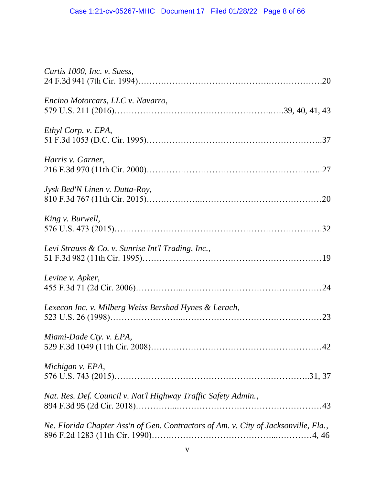| Curtis 1000, Inc. v. Suess,                                                         |
|-------------------------------------------------------------------------------------|
| Encino Motorcars, LLC v. Navarro,                                                   |
| Ethyl Corp. v. EPA,                                                                 |
| Harris v. Garner,                                                                   |
| Jysk Bed'N Linen v. Dutta-Roy,                                                      |
| King v. Burwell,                                                                    |
| Levi Strauss & Co. v. Sunrise Int'l Trading, Inc.,                                  |
| Levine v. Apker,                                                                    |
| Lexecon Inc. v. Milberg Weiss Bershad Hynes & Lerach,                               |
| Miami-Dade Cty. v. EPA,                                                             |
| Michigan v. EPA,                                                                    |
| Nat. Res. Def. Council v. Nat'l Highway Traffic Safety Admin.,                      |
| Ne. Florida Chapter Ass'n of Gen. Contractors of Am. v. City of Jacksonville, Fla., |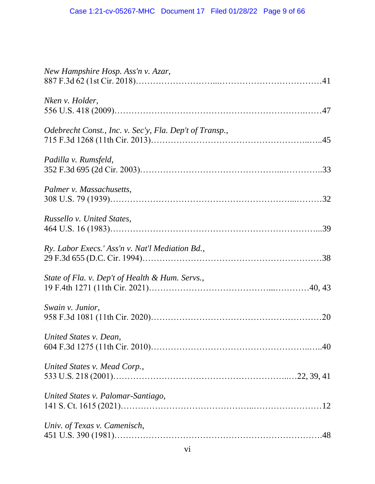| New Hampshire Hosp. Ass'n v. Azar,                      |
|---------------------------------------------------------|
| Nken v. Holder,                                         |
| Odebrecht Const., Inc. v. Sec'y, Fla. Dep't of Transp., |
| Padilla v. Rumsfeld,                                    |
| Palmer v. Massachusetts,                                |
| Russello v. United States,                              |
| Ry. Labor Execs.' Ass'n v. Nat'l Mediation Bd.,         |
| State of Fla. v. Dep't of Health & Hum. Servs.,         |
| Swain v. Junior,                                        |
| United States v. Dean,                                  |
| United States v. Mead Corp.,                            |
| United States v. Palomar-Santiago,                      |
| Univ. of Texas v. Camenisch,                            |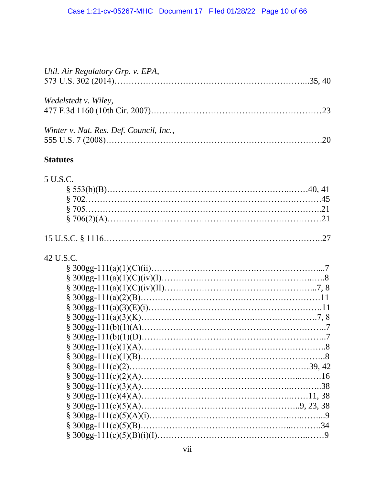| Util. Air Regulatory Grp. v. EPA,       |  |
|-----------------------------------------|--|
| Wedelstedt v. Wiley,                    |  |
| Winter v. Nat. Res. Def. Council, Inc., |  |

# **Statutes**

# 5 U.S.C.

# 42 U.S.C.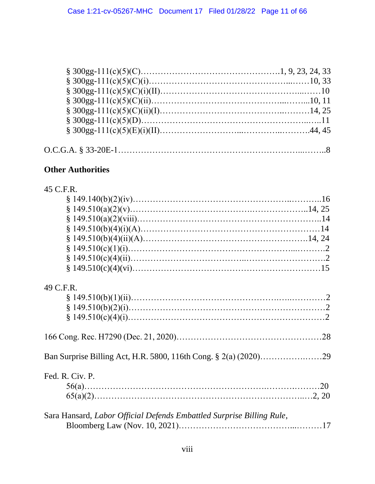## **Other Authorities**

| 45 | C.F.R. |
|----|--------|
|    |        |

| 49 C.F.R.                                                             |  |
|-----------------------------------------------------------------------|--|
|                                                                       |  |
|                                                                       |  |
|                                                                       |  |
|                                                                       |  |
|                                                                       |  |
| Fed. R. Civ. P.                                                       |  |
|                                                                       |  |
|                                                                       |  |
| Sara Hansard, Labor Official Defends Embattled Surprise Billing Rule, |  |
|                                                                       |  |
|                                                                       |  |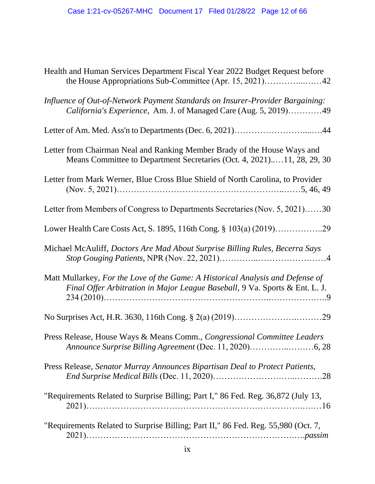| Health and Human Services Department Fiscal Year 2022 Budget Request before                                                                                   |
|---------------------------------------------------------------------------------------------------------------------------------------------------------------|
| Influence of Out-of-Network Payment Standards on Insurer-Provider Bargaining:<br>California's Experience, Am. J. of Managed Care (Aug. 5, 2019)49             |
|                                                                                                                                                               |
| Letter from Chairman Neal and Ranking Member Brady of the House Ways and<br>Means Committee to Department Secretaries (Oct. 4, 2021)11, 28, 29, 30            |
| Letter from Mark Werner, Blue Cross Blue Shield of North Carolina, to Provider                                                                                |
| Letter from Members of Congress to Departments Secretaries (Nov. 5, 2021)30                                                                                   |
|                                                                                                                                                               |
| Michael McAuliff, Doctors Are Mad About Surprise Billing Rules, Becerra Says                                                                                  |
| Matt Mullarkey, For the Love of the Game: A Historical Analysis and Defense of<br>Final Offer Arbitration in Major League Baseball, 9 Va. Sports & Ent. L. J. |
|                                                                                                                                                               |
| Press Release, House Ways & Means Comm., Congressional Committee Leaders                                                                                      |
| Press Release, Senator Murray Announces Bipartisan Deal to Protect Patients,                                                                                  |
| "Requirements Related to Surprise Billing; Part I," 86 Fed. Reg. 36,872 (July 13,                                                                             |
| "Requirements Related to Surprise Billing; Part II," 86 Fed. Reg. 55,980 (Oct. 7,                                                                             |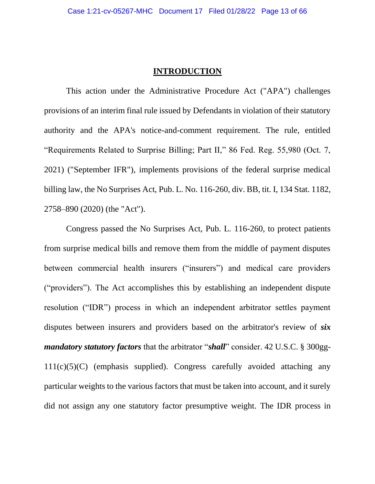#### **INTRODUCTION**

This action under the Administrative Procedure Act ("APA") challenges provisions of an interim final rule issued by Defendants in violation of their statutory authority and the APA's notice-and-comment requirement. The rule, entitled "Requirements Related to Surprise Billing; Part II," 86 Fed. Reg. 55,980 (Oct. 7, 2021) ("September IFR"), implements provisions of the federal surprise medical billing law, the No Surprises Act, Pub. L. No. 116-260, div. BB, tit. I, 134 Stat. 1182, 2758–890 (2020) (the "Act").

Congress passed the No Surprises Act, Pub. L. 116-260, to protect patients from surprise medical bills and remove them from the middle of payment disputes between commercial health insurers ("insurers") and medical care providers ("providers"). The Act accomplishes this by establishing an independent dispute resolution ("IDR") process in which an independent arbitrator settles payment disputes between insurers and providers based on the arbitrator's review of *six mandatory statutory factors* that the arbitrator "*shall*" consider. 42 U.S.C. § 300gg- $111(c)(5)(C)$  (emphasis supplied). Congress carefully avoided attaching any particular weights to the various factors that must be taken into account, and it surely did not assign any one statutory factor presumptive weight. The IDR process in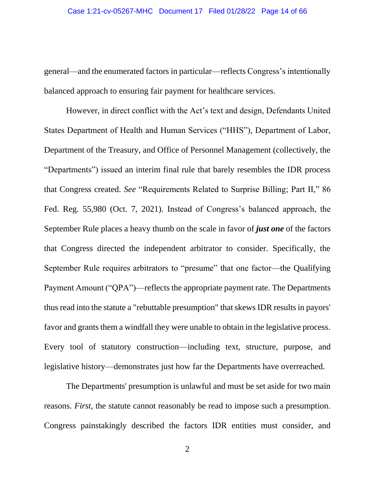general—and the enumerated factors in particular—reflects Congress's intentionally balanced approach to ensuring fair payment for healthcare services.

However, in direct conflict with the Act's text and design, Defendants United States Department of Health and Human Services ("HHS"), Department of Labor, Department of the Treasury, and Office of Personnel Management (collectively, the "Departments") issued an interim final rule that barely resembles the IDR process that Congress created. *See* "Requirements Related to Surprise Billing; Part II," 86 Fed. Reg. 55,980 (Oct. 7, 2021). Instead of Congress's balanced approach, the September Rule places a heavy thumb on the scale in favor of *just one* of the factors that Congress directed the independent arbitrator to consider. Specifically, the September Rule requires arbitrators to "presume" that one factor—the Qualifying Payment Amount ("QPA")—reflects the appropriate payment rate. The Departments thus read into the statute a "rebuttable presumption" that skews IDR results in payors' favor and grants them a windfall they were unable to obtain in the legislative process. Every tool of statutory construction—including text, structure, purpose, and legislative history—demonstrates just how far the Departments have overreached.

The Departments' presumption is unlawful and must be set aside for two main reasons. *First,* the statute cannot reasonably be read to impose such a presumption. Congress painstakingly described the factors IDR entities must consider, and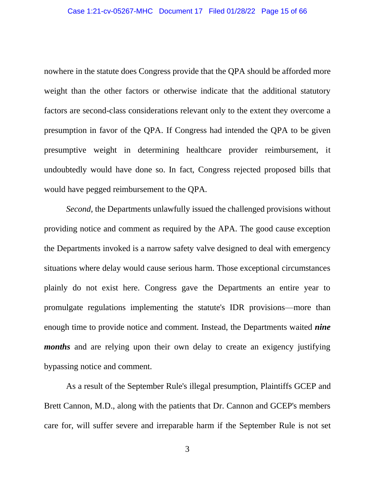nowhere in the statute does Congress provide that the QPA should be afforded more weight than the other factors or otherwise indicate that the additional statutory factors are second-class considerations relevant only to the extent they overcome a presumption in favor of the QPA. If Congress had intended the QPA to be given presumptive weight in determining healthcare provider reimbursement, it undoubtedly would have done so. In fact, Congress rejected proposed bills that would have pegged reimbursement to the QPA.

*Second,* the Departments unlawfully issued the challenged provisions without providing notice and comment as required by the APA. The good cause exception the Departments invoked is a narrow safety valve designed to deal with emergency situations where delay would cause serious harm. Those exceptional circumstances plainly do not exist here. Congress gave the Departments an entire year to promulgate regulations implementing the statute's IDR provisions—more than enough time to provide notice and comment. Instead, the Departments waited *nine months* and are relying upon their own delay to create an exigency justifying bypassing notice and comment.

As a result of the September Rule's illegal presumption, Plaintiffs GCEP and Brett Cannon, M.D., along with the patients that Dr. Cannon and GCEP's members care for, will suffer severe and irreparable harm if the September Rule is not set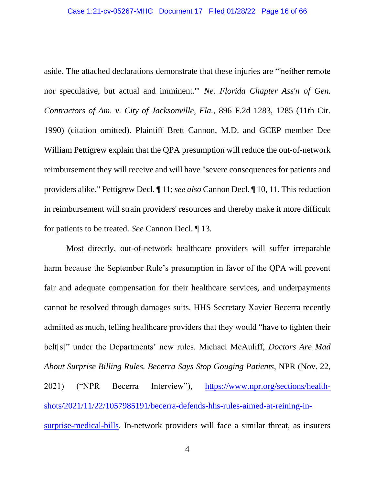aside. The attached declarations demonstrate that these injuries are "'neither remote nor speculative, but actual and imminent.'" *Ne. Florida Chapter Ass'n of Gen. Contractors of Am. v. City of Jacksonville, Fla.*, 896 F.2d 1283, 1285 (11th Cir. 1990) (citation omitted). Plaintiff Brett Cannon, M.D. and GCEP member Dee William Pettigrew explain that the QPA presumption will reduce the out-of-network reimbursement they will receive and will have "severe consequences for patients and providers alike." Pettigrew Decl. ¶ 11; *see also* Cannon Decl. ¶ 10, 11. This reduction in reimbursement will strain providers' resources and thereby make it more difficult for patients to be treated. *See* Cannon Decl. ¶ 13.

Most directly, out-of-network healthcare providers will suffer irreparable harm because the September Rule's presumption in favor of the QPA will prevent fair and adequate compensation for their healthcare services, and underpayments cannot be resolved through damages suits. HHS Secretary Xavier Becerra recently admitted as much, telling healthcare providers that they would "have to tighten their belt[s]" under the Departments' new rules. Michael McAuliff, *Doctors Are Mad About Surprise Billing Rules. Becerra Says Stop Gouging Patients*, NPR (Nov. 22, 2021) ("NPR Becerra Interview"), [https://www.npr.org/sections/health](https://www.npr.org/sections/health-shots/2021/11/22/1057985191/becerra-defends-hhs-rules-aimed-at-reining-in-surprise-medical-bills)[shots/2021/11/22/1057985191/becerra-defends-hhs-rules-aimed-at-reining-in](https://www.npr.org/sections/health-shots/2021/11/22/1057985191/becerra-defends-hhs-rules-aimed-at-reining-in-surprise-medical-bills)[surprise-medical-bills.](https://www.npr.org/sections/health-shots/2021/11/22/1057985191/becerra-defends-hhs-rules-aimed-at-reining-in-surprise-medical-bills) In-network providers will face a similar threat, as insurers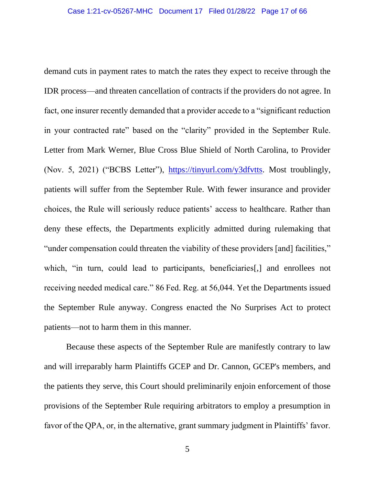demand cuts in payment rates to match the rates they expect to receive through the IDR process—and threaten cancellation of contracts if the providers do not agree. In fact, one insurer recently demanded that a provider accede to a "significant reduction in your contracted rate" based on the "clarity" provided in the September Rule. Letter from Mark Werner, Blue Cross Blue Shield of North Carolina, to Provider (Nov. 5, 2021) ("BCBS Letter"), [https://tinyurl.com/y3dfvtts.](https://tinyurl.com/y3dfvtts) Most troublingly, patients will suffer from the September Rule. With fewer insurance and provider choices, the Rule will seriously reduce patients' access to healthcare. Rather than deny these effects, the Departments explicitly admitted during rulemaking that "under compensation could threaten the viability of these providers [and] facilities," which, "in turn, could lead to participants, beneficiaries<sup>[1]</sup>, and enrollees not receiving needed medical care." 86 Fed. Reg. at 56,044. Yet the Departments issued the September Rule anyway. Congress enacted the No Surprises Act to protect patients—not to harm them in this manner.

Because these aspects of the September Rule are manifestly contrary to law and will irreparably harm Plaintiffs GCEP and Dr. Cannon, GCEP's members, and the patients they serve, this Court should preliminarily enjoin enforcement of those provisions of the September Rule requiring arbitrators to employ a presumption in favor of the QPA, or, in the alternative, grant summary judgment in Plaintiffs' favor.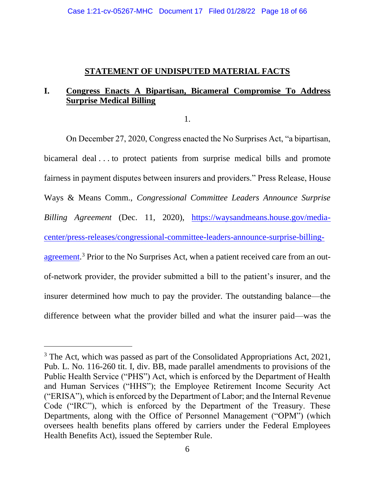## **STATEMENT OF UNDISPUTED MATERIAL FACTS**

## **I. Congress Enacts A Bipartisan, Bicameral Compromise To Address Surprise Medical Billing**

1.

On December 27, 2020, Congress enacted the No Surprises Act, "a bipartisan, bicameral deal . . . to protect patients from surprise medical bills and promote fairness in payment disputes between insurers and providers." Press Release, House Ways & Means Comm., *Congressional Committee Leaders Announce Surprise Billing Agreement* (Dec. 11, 2020), [https://waysandmeans.house.gov/media](https://waysandmeans.house.gov/media-center/press-releases/congressional-committee-leaders-announce-surprise-billing-agreement)[center/press-releases/congressional-committee-leaders-announce-surprise-billing](https://waysandmeans.house.gov/media-center/press-releases/congressional-committee-leaders-announce-surprise-billing-agreement)[agreement.](https://waysandmeans.house.gov/media-center/press-releases/congressional-committee-leaders-announce-surprise-billing-agreement)<sup>3</sup> Prior to the No Surprises Act, when a patient received care from an outof-network provider, the provider submitted a bill to the patient's insurer, and the insurer determined how much to pay the provider. The outstanding balance—the difference between what the provider billed and what the insurer paid—was the

 $3$  The Act, which was passed as part of the Consolidated Appropriations Act, 2021, Pub. L. No. 116-260 tit. I, div. BB, made parallel amendments to provisions of the Public Health Service ("PHS") Act, which is enforced by the Department of Health and Human Services ("HHS"); the Employee Retirement Income Security Act ("ERISA"), which is enforced by the Department of Labor; and the Internal Revenue Code ("IRC"), which is enforced by the Department of the Treasury. These Departments, along with the Office of Personnel Management ("OPM") (which oversees health benefits plans offered by carriers under the Federal Employees Health Benefits Act), issued the September Rule.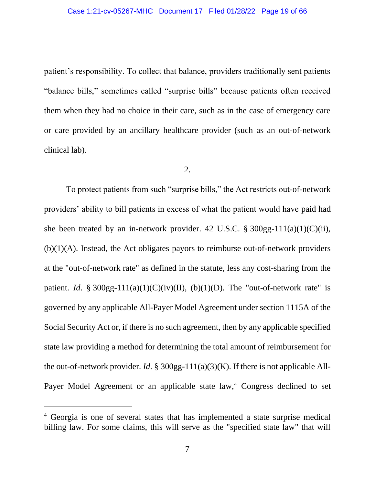#### Case 1:21-cv-05267-MHC Document 17 Filed 01/28/22 Page 19 of 66

patient's responsibility. To collect that balance, providers traditionally sent patients "balance bills," sometimes called "surprise bills" because patients often received them when they had no choice in their care, such as in the case of emergency care or care provided by an ancillary healthcare provider (such as an out-of-network clinical lab).

#### 2.

To protect patients from such "surprise bills," the Act restricts out-of-network providers' ability to bill patients in excess of what the patient would have paid had she been treated by an in-network provider. 42 U.S.C.  $\S 300gg-111(a)(1)(C)(ii)$ ,  $(b)(1)(A)$ . Instead, the Act obligates payors to reimburse out-of-network providers at the "out-of-network rate" as defined in the statute, less any cost-sharing from the patient. *Id.* § 300gg-111(a)(1)(C)(iv)(II), (b)(1)(D). The "out-of-network rate" is governed by any applicable All-Payer Model Agreement under section 1115A of the Social Security Act or, if there is no such agreement, then by any applicable specified state law providing a method for determining the total amount of reimbursement for the out-of-network provider. *Id*. § 300gg-111(a)(3)(K). If there is not applicable All-Payer Model Agreement or an applicable state law,<sup>4</sup> Congress declined to set

<sup>4</sup> Georgia is one of several states that has implemented a state surprise medical billing law. For some claims, this will serve as the "specified state law" that will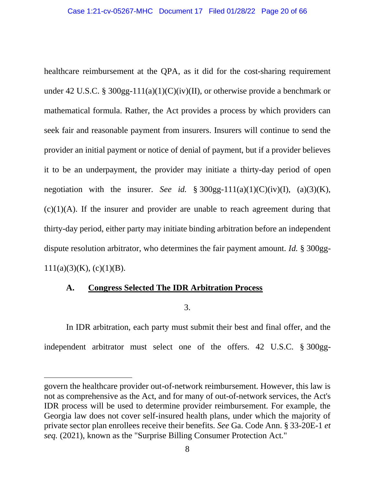healthcare reimbursement at the QPA, as it did for the cost-sharing requirement under 42 U.S.C. § 300gg-111(a)(1)(C)(iv)(II), or otherwise provide a benchmark or mathematical formula. Rather, the Act provides a process by which providers can seek fair and reasonable payment from insurers. Insurers will continue to send the provider an initial payment or notice of denial of payment, but if a provider believes it to be an underpayment, the provider may initiate a thirty-day period of open negotiation with the insurer. *See id.* § 300gg-111(a)(1)(C)(iv)(I), (a)(3)(K),  $(c)(1)(A)$ . If the insurer and provider are unable to reach agreement during that thirty-day period, either party may initiate binding arbitration before an independent dispute resolution arbitrator, who determines the fair payment amount. *Id.* § 300gg- $111(a)(3)(K)$ , (c)(1)(B).

## **A. Congress Selected The IDR Arbitration Process**

3.

In IDR arbitration, each party must submit their best and final offer, and the independent arbitrator must select one of the offers. 42 U.S.C. § 300gg-

govern the healthcare provider out-of-network reimbursement. However, this law is not as comprehensive as the Act, and for many of out-of-network services, the Act's IDR process will be used to determine provider reimbursement. For example, the Georgia law does not cover self-insured health plans, under which the majority of private sector plan enrollees receive their benefits. *See* Ga. Code Ann. § 33-20E-1 *et seq.* (2021), known as the "Surprise Billing Consumer Protection Act."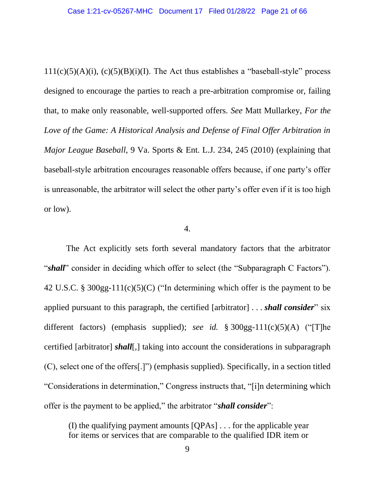$111(c)(5)(A)(i)$ ,  $(c)(5)(B)(i)(I)$ . The Act thus establishes a "baseball-style" process designed to encourage the parties to reach a pre-arbitration compromise or, failing that, to make only reasonable, well-supported offers. *See* Matt Mullarkey, *For the*  Love of the Game: A Historical Analysis and Defense of Final Offer Arbitration in *Major League Baseball*, 9 Va. Sports & Ent. L.J. 234, 245 (2010) (explaining that baseball-style arbitration encourages reasonable offers because, if one party's offer is unreasonable, the arbitrator will select the other party's offer even if it is too high or low).

#### 4.

The Act explicitly sets forth several mandatory factors that the arbitrator "*shall*" consider in deciding which offer to select (the "Subparagraph C Factors"). 42 U.S.C. § 300gg-111(c)(5)(C) ("In determining which offer is the payment to be applied pursuant to this paragraph, the certified [arbitrator] . . . *shall consider*" six different factors) (emphasis supplied); *see id.* § 300gg-111(c)(5)(A) ("[T]he certified [arbitrator] *shall*[,] taking into account the considerations in subparagraph (C), select one of the offers[.]") (emphasis supplied). Specifically, in a section titled "Considerations in determination," Congress instructs that, "[i]n determining which offer is the payment to be applied," the arbitrator "*shall consider*":

(I) the qualifying payment amounts [QPAs] . . . for the applicable year for items or services that are comparable to the qualified IDR item or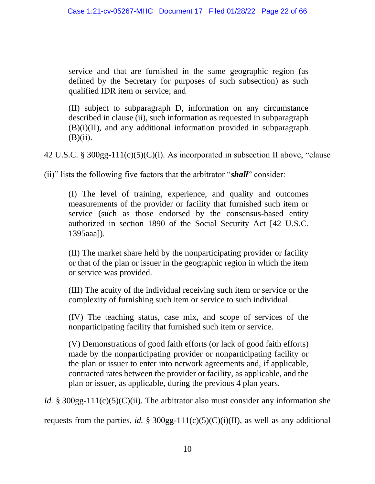service and that are furnished in the same geographic region (as defined by the Secretary for purposes of such subsection) as such qualified IDR item or service; and

(II) subject to subparagraph D, information on any circumstance described in clause (ii), such information as requested in subparagraph (B)(i)(II), and any additional information provided in subparagraph  $(B)(ii)$ .

42 U.S.C. § 300gg-111(c)(5)(C)(i). As incorporated in subsection II above, "clause

(ii)" lists the following five factors that the arbitrator "*shall*" consider:

(I) The level of training, experience, and quality and outcomes measurements of the provider or facility that furnished such item or service (such as those endorsed by the consensus-based entity authorized in section 1890 of the Social Security Act [42 U.S.C. 1395aaa]).

(II) The market share held by the nonparticipating provider or facility or that of the plan or issuer in the geographic region in which the item or service was provided.

(III) The acuity of the individual receiving such item or service or the complexity of furnishing such item or service to such individual.

(IV) The teaching status, case mix, and scope of services of the nonparticipating facility that furnished such item or service.

(V) Demonstrations of good faith efforts (or lack of good faith efforts) made by the nonparticipating provider or nonparticipating facility or the plan or issuer to enter into network agreements and, if applicable, contracted rates between the provider or facility, as applicable, and the plan or issuer, as applicable, during the previous 4 plan years.

*Id.* § 300gg-111(c)(5)(C)(ii). The arbitrator also must consider any information she requests from the parties, *id.* § 300gg-111(c)(5)(C)(i)(II), as well as any additional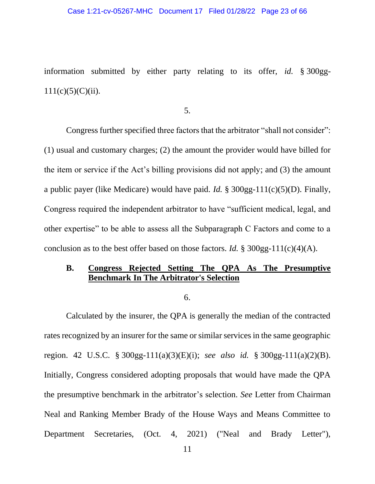#### Case 1:21-cv-05267-MHC Document 17 Filed 01/28/22 Page 23 of 66

information submitted by either party relating to its offer, *id.* § 300gg- $111(c)(5)(C)(ii)$ .

5.

Congress further specified three factors that the arbitrator "shall not consider": (1) usual and customary charges; (2) the amount the provider would have billed for the item or service if the Act's billing provisions did not apply; and (3) the amount a public payer (like Medicare) would have paid. *Id.* § 300gg-111(c)(5)(D). Finally, Congress required the independent arbitrator to have "sufficient medical, legal, and other expertise" to be able to assess all the Subparagraph C Factors and come to a conclusion as to the best offer based on those factors. *Id.* § 300gg-111(c)(4)(A).

## **B. Congress Rejected Setting The QPA As The Presumptive Benchmark In The Arbitrator's Selection**

6.

Calculated by the insurer, the QPA is generally the median of the contracted rates recognized by an insurer for the same or similar services in the same geographic region. 42 U.S.C. § 300gg-111(a)(3)(E)(i); *see also id.* § 300gg-111(a)(2)(B). Initially, Congress considered adopting proposals that would have made the QPA the presumptive benchmark in the arbitrator's selection. *See* Letter from Chairman Neal and Ranking Member Brady of the House Ways and Means Committee to Department Secretaries, (Oct. 4, 2021) ("Neal and Brady Letter"),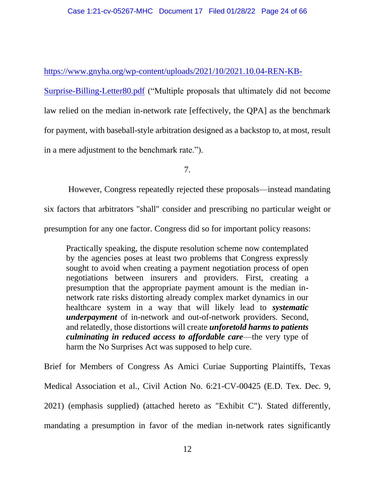[https://www.gnyha.org/wp-content/uploads/2021/10/2021.10.04-REN-KB-](https://www.gnyha.org/wp-content/uploads/2021/10/2021.10.04-REN-KB-Surprise-Billing-Letter80.pdf)

[Surprise-Billing-Letter80.pdf](https://www.gnyha.org/wp-content/uploads/2021/10/2021.10.04-REN-KB-Surprise-Billing-Letter80.pdf) ("Multiple proposals that ultimately did not become law relied on the median in-network rate [effectively, the QPA] as the benchmark for payment, with baseball-style arbitration designed as a backstop to, at most, result in a mere adjustment to the benchmark rate.").

7.

However, Congress repeatedly rejected these proposals—instead mandating

six factors that arbitrators "shall" consider and prescribing no particular weight or

presumption for any one factor. Congress did so for important policy reasons:

Practically speaking, the dispute resolution scheme now contemplated by the agencies poses at least two problems that Congress expressly sought to avoid when creating a payment negotiation process of open negotiations between insurers and providers. First, creating a presumption that the appropriate payment amount is the median innetwork rate risks distorting already complex market dynamics in our healthcare system in a way that will likely lead to *systematic underpayment* of in-network and out-of-network providers. Second, and relatedly, those distortions will create *unforetold harms to patients culminating in reduced access to affordable care*—the very type of harm the No Surprises Act was supposed to help cure.

Brief for Members of Congress As Amici Curiae Supporting Plaintiffs, Texas Medical Association et al., Civil Action No. 6:21-CV-00425 (E.D. Tex. Dec. 9, 2021) (emphasis supplied) (attached hereto as "Exhibit C"). Stated differently, mandating a presumption in favor of the median in-network rates significantly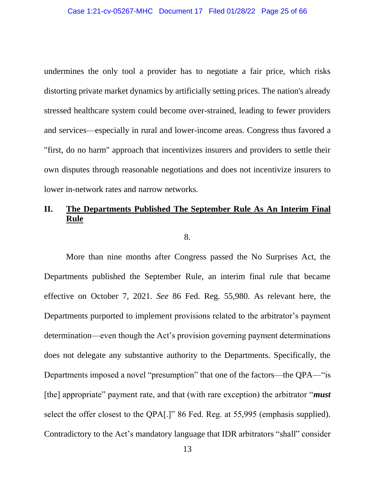undermines the only tool a provider has to negotiate a fair price, which risks distorting private market dynamics by artificially setting prices. The nation's already stressed healthcare system could become over-strained, leading to fewer providers and services—especially in rural and lower-income areas. Congress thus favored a "first, do no harm" approach that incentivizes insurers and providers to settle their own disputes through reasonable negotiations and does not incentivize insurers to lower in-network rates and narrow networks.

# **II. The Departments Published The September Rule As An Interim Final Rule**

8.

More than nine months after Congress passed the No Surprises Act, the Departments published the September Rule, an interim final rule that became effective on October 7, 2021. *See* 86 Fed. Reg. 55,980. As relevant here, the Departments purported to implement provisions related to the arbitrator's payment determination—even though the Act's provision governing payment determinations does not delegate any substantive authority to the Departments. Specifically, the Departments imposed a novel "presumption" that one of the factors—the QPA—"is [the] appropriate" payment rate, and that (with rare exception) the arbitrator "*must* select the offer closest to the QPA[.]" 86 Fed. Reg. at 55,995 (emphasis supplied). Contradictory to the Act's mandatory language that IDR arbitrators "shall" consider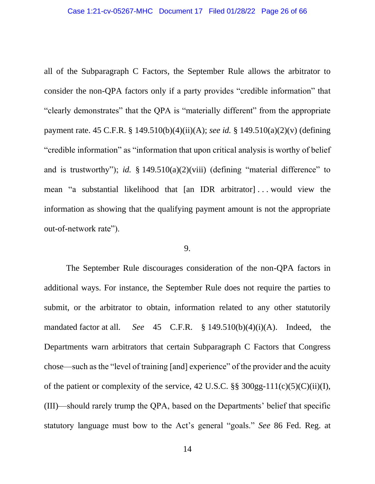all of the Subparagraph C Factors, the September Rule allows the arbitrator to consider the non-QPA factors only if a party provides "credible information" that "clearly demonstrates" that the QPA is "materially different" from the appropriate payment rate. 45 C.F.R. § 149.510(b)(4)(ii)(A); *see id.* § 149.510(a)(2)(v) (defining "credible information" as "information that upon critical analysis is worthy of belief and is trustworthy"); *id.* § 149.510(a)(2)(viii) (defining "material difference" to mean "a substantial likelihood that [an IDR arbitrator] . . . would view the information as showing that the qualifying payment amount is not the appropriate out-of-network rate").

#### 9.

The September Rule discourages consideration of the non-QPA factors in additional ways. For instance, the September Rule does not require the parties to submit, or the arbitrator to obtain, information related to any other statutorily mandated factor at all. *See* 45 C.F.R. § 149.510(b)(4)(i)(A). Indeed, the Departments warn arbitrators that certain Subparagraph C Factors that Congress chose—such as the "level of training [and] experience" of the provider and the acuity of the patient or complexity of the service, 42 U.S.C.  $\S$ § 300gg-111(c)(5)(C)(ii)(I), (III)—should rarely trump the QPA, based on the Departments' belief that specific statutory language must bow to the Act's general "goals." *See* 86 Fed. Reg. at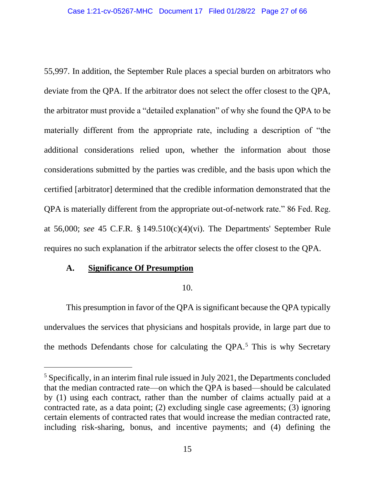55,997. In addition, the September Rule places a special burden on arbitrators who deviate from the QPA. If the arbitrator does not select the offer closest to the QPA, the arbitrator must provide a "detailed explanation" of why she found the QPA to be materially different from the appropriate rate, including a description of "the additional considerations relied upon, whether the information about those considerations submitted by the parties was credible, and the basis upon which the certified [arbitrator] determined that the credible information demonstrated that the QPA is materially different from the appropriate out-of-network rate." 86 Fed. Reg. at 56,000; *see* 45 C.F.R. § 149.510(c)(4)(vi). The Departments' September Rule requires no such explanation if the arbitrator selects the offer closest to the QPA.

## **A. Significance Of Presumption**

## 10.

This presumption in favor of the QPA is significant because the QPA typically undervalues the services that physicians and hospitals provide, in large part due to the methods Defendants chose for calculating the  $OPA<sub>5</sub>$ <sup>5</sup> This is why Secretary

<sup>5</sup> Specifically, in an interim final rule issued in July 2021, the Departments concluded that the median contracted rate—on which the QPA is based—should be calculated by (1) using each contract, rather than the number of claims actually paid at a contracted rate, as a data point; (2) excluding single case agreements; (3) ignoring certain elements of contracted rates that would increase the median contracted rate, including risk-sharing, bonus, and incentive payments; and (4) defining the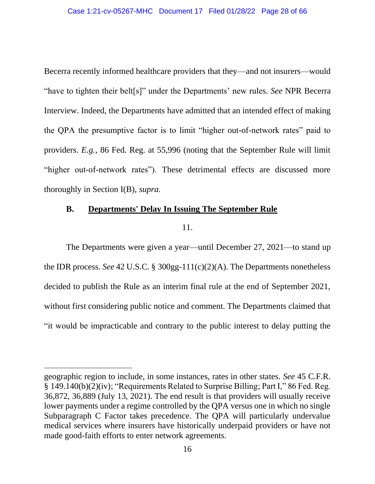Becerra recently informed healthcare providers that they—and not insurers—would "have to tighten their belt[s]" under the Departments' new rules. *See* NPR Becerra Interview. Indeed, the Departments have admitted that an intended effect of making the QPA the presumptive factor is to limit "higher out-of-network rates" paid to providers. *E.g.*, 86 Fed. Reg. at 55,996 (noting that the September Rule will limit "higher out-of-network rates"). These detrimental effects are discussed more thoroughly in Section I(B), *supra.*

## **B. Departments' Delay In Issuing The September Rule**

11.

The Departments were given a year—until December 27, 2021—to stand up the IDR process. *See* 42 U.S.C. § 300gg-111(c)(2)(A). The Departments nonetheless decided to publish the Rule as an interim final rule at the end of September 2021, without first considering public notice and comment. The Departments claimed that "it would be impracticable and contrary to the public interest to delay putting the

geographic region to include, in some instances, rates in other states. *See* 45 C.F.R. § 149.140(b)(2)(iv); "Requirements Related to Surprise Billing; Part I," 86 Fed. Reg. 36,872, 36,889 (July 13, 2021). The end result is that providers will usually receive lower payments under a regime controlled by the QPA versus one in which no single Subparagraph C Factor takes precedence. The QPA will particularly undervalue medical services where insurers have historically underpaid providers or have not made good-faith efforts to enter network agreements.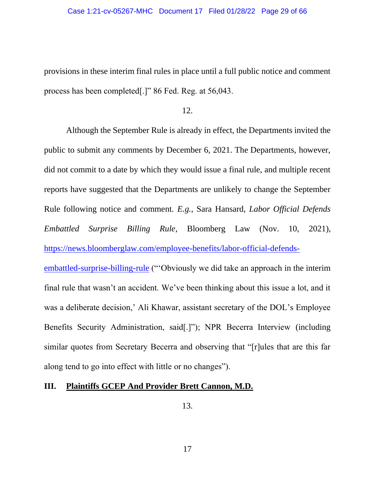provisions in these interim final rules in place until a full public notice and comment process has been completed[.]" 86 Fed. Reg. at 56,043.

12.

Although the September Rule is already in effect, the Departments invited the public to submit any comments by December 6, 2021. The Departments, however, did not commit to a date by which they would issue a final rule, and multiple recent reports have suggested that the Departments are unlikely to change the September Rule following notice and comment. *E.g.*, Sara Hansard, *Labor Official Defends Embattled Surprise Billing Rule*, Bloomberg Law (Nov. 10, 2021), [https://news.bloomberglaw.com/employee-benefits/labor-official-defends](https://news.bloomberglaw.com/employee-benefits/labor-official-defends-embattled-surprise-billing-rule)[embattled-surprise-billing-rule](https://news.bloomberglaw.com/employee-benefits/labor-official-defends-embattled-surprise-billing-rule) ("'Obviously we did take an approach in the interim

final rule that wasn't an accident. We've been thinking about this issue a lot, and it was a deliberate decision,' Ali Khawar, assistant secretary of the DOL's Employee Benefits Security Administration, said[.]"); NPR Becerra Interview (including similar quotes from Secretary Becerra and observing that "[r]ules that are this far along tend to go into effect with little or no changes").

## **III. Plaintiffs GCEP And Provider Brett Cannon, M.D.**

13.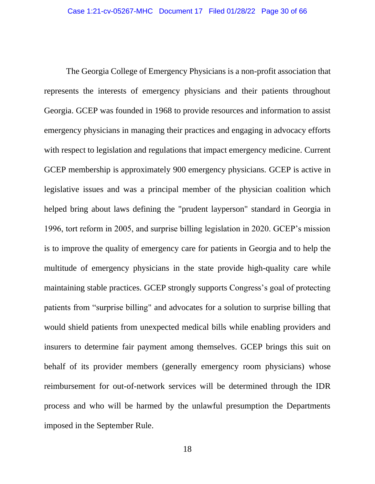The Georgia College of Emergency Physicians is a non-profit association that represents the interests of emergency physicians and their patients throughout Georgia. GCEP was founded in 1968 to provide resources and information to assist emergency physicians in managing their practices and engaging in advocacy efforts with respect to legislation and regulations that impact emergency medicine. Current GCEP membership is approximately 900 emergency physicians. GCEP is active in legislative issues and was a principal member of the physician coalition which helped bring about laws defining the "prudent layperson" standard in Georgia in 1996, tort reform in 2005, and surprise billing legislation in 2020. GCEP's mission is to improve the quality of emergency care for patients in Georgia and to help the multitude of emergency physicians in the state provide high-quality care while maintaining stable practices. GCEP strongly supports Congress's goal of protecting patients from "surprise billing" and advocates for a solution to surprise billing that would shield patients from unexpected medical bills while enabling providers and insurers to determine fair payment among themselves. GCEP brings this suit on behalf of its provider members (generally emergency room physicians) whose reimbursement for out-of-network services will be determined through the IDR process and who will be harmed by the unlawful presumption the Departments imposed in the September Rule.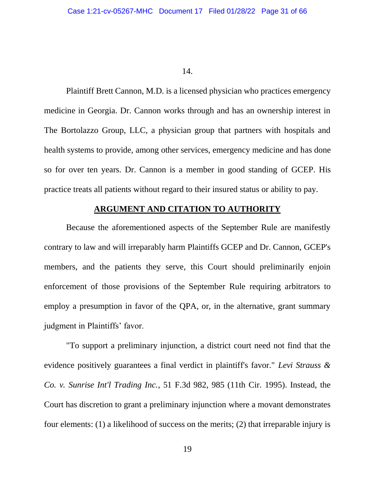#### 14.

Plaintiff Brett Cannon, M.D. is a licensed physician who practices emergency medicine in Georgia. Dr. Cannon works through and has an ownership interest in The Bortolazzo Group, LLC, a physician group that partners with hospitals and health systems to provide, among other services, emergency medicine and has done so for over ten years. Dr. Cannon is a member in good standing of GCEP. His practice treats all patients without regard to their insured status or ability to pay.

## **ARGUMENT AND CITATION TO AUTHORITY**

Because the aforementioned aspects of the September Rule are manifestly contrary to law and will irreparably harm Plaintiffs GCEP and Dr. Cannon, GCEP's members, and the patients they serve, this Court should preliminarily enjoin enforcement of those provisions of the September Rule requiring arbitrators to employ a presumption in favor of the QPA, or, in the alternative, grant summary judgment in Plaintiffs' favor.

"To support a preliminary injunction, a district court need not find that the evidence positively guarantees a final verdict in plaintiff's favor." *Levi Strauss & Co. v. Sunrise Int'l Trading Inc.*, 51 F.3d 982, 985 (11th Cir. 1995). Instead, the Court has discretion to grant a preliminary injunction where a movant demonstrates four elements: (1) a likelihood of success on the merits; (2) that irreparable injury is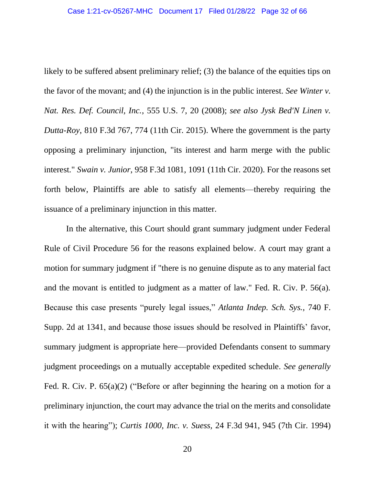likely to be suffered absent preliminary relief; (3) the balance of the equities tips on the favor of the movant; and (4) the injunction is in the public interest. *See Winter v. Nat. Res. Def. Council, Inc.*, 555 U.S. 7, 20 (2008); *see also Jysk Bed'N Linen v. Dutta-Roy*, 810 F.3d 767, 774 (11th Cir. 2015). Where the government is the party opposing a preliminary injunction, "its interest and harm merge with the public interest." *Swain v. Junior*, 958 F.3d 1081, 1091 (11th Cir. 2020). For the reasons set forth below, Plaintiffs are able to satisfy all elements—thereby requiring the issuance of a preliminary injunction in this matter.

In the alternative, this Court should grant summary judgment under Federal Rule of Civil Procedure 56 for the reasons explained below. A court may grant a motion for summary judgment if "there is no genuine dispute as to any material fact and the movant is entitled to judgment as a matter of law." Fed. R. Civ. P. 56(a). Because this case presents "purely legal issues," *Atlanta Indep. Sch. Sys.*, 740 F. Supp. 2d at 1341, and because those issues should be resolved in Plaintiffs' favor, summary judgment is appropriate here—provided Defendants consent to summary judgment proceedings on a mutually acceptable expedited schedule. *See generally* Fed. R. Civ. P. 65(a)(2) ("Before or after beginning the hearing on a motion for a preliminary injunction, the court may advance the trial on the merits and consolidate it with the hearing"); *Curtis 1000, Inc. v. Suess,* 24 F.3d 941, 945 (7th Cir. 1994)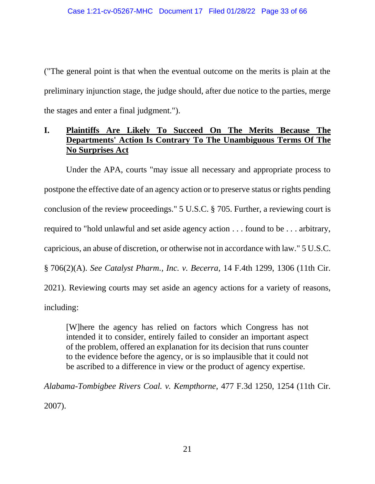("The general point is that when the eventual outcome on the merits is plain at the preliminary injunction stage, the judge should, after due notice to the parties, merge the stages and enter a final judgment.").

## **I. Plaintiffs Are Likely To Succeed On The Merits Because The Departments' Action Is Contrary To The Unambiguous Terms Of The No Surprises Act**

Under the APA, courts "may issue all necessary and appropriate process to postpone the effective date of an agency action or to preserve status or rights pending conclusion of the review proceedings." 5 U.S.C. § 705. Further, a reviewing court is required to "hold unlawful and set aside agency action . . . found to be . . . arbitrary, capricious, an abuse of discretion, or otherwise not in accordance with law." 5 U.S.C. § 706(2)(A). *See Catalyst Pharm., Inc. v. Becerra*, 14 F.4th 1299, 1306 (11th Cir. 2021). Reviewing courts may set aside an agency actions for a variety of reasons, including:

[W]here the agency has relied on factors which Congress has not intended it to consider, entirely failed to consider an important aspect of the problem, offered an explanation for its decision that runs counter to the evidence before the agency, or is so implausible that it could not be ascribed to a difference in view or the product of agency expertise.

*Alabama-Tombigbee Rivers Coal. v. Kempthorne*, 477 F.3d 1250, 1254 (11th Cir. 2007).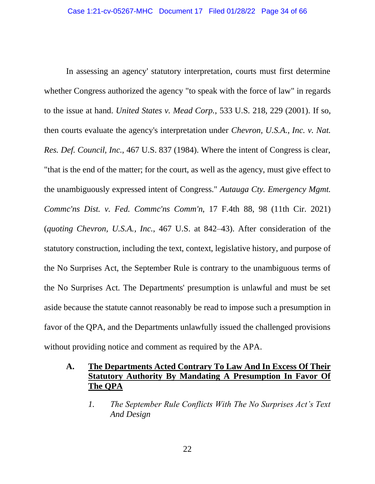In assessing an agency' statutory interpretation, courts must first determine whether Congress authorized the agency "to speak with the force of law" in regards to the issue at hand. *United States v. Mead Corp.*, 533 U.S. 218, 229 (2001). If so, then courts evaluate the agency's interpretation under *Chevron, U.S.A., Inc. v. Nat. Res. Def. Council, Inc.*, 467 U.S. 837 (1984). Where the intent of Congress is clear, "that is the end of the matter; for the court, as well as the agency, must give effect to the unambiguously expressed intent of Congress." *Autauga Cty. Emergency Mgmt. Commc'ns Dist. v. Fed. Commc'ns Comm'n*, 17 F.4th 88, 98 (11th Cir. 2021) (*quoting Chevron, U.S.A., Inc.*, 467 U.S. at 842–43). After consideration of the statutory construction, including the text, context, legislative history, and purpose of the No Surprises Act, the September Rule is contrary to the unambiguous terms of the No Surprises Act. The Departments' presumption is unlawful and must be set aside because the statute cannot reasonably be read to impose such a presumption in favor of the QPA, and the Departments unlawfully issued the challenged provisions without providing notice and comment as required by the APA.

## **A. The Departments Acted Contrary To Law And In Excess Of Their Statutory Authority By Mandating A Presumption In Favor Of The QPA**

*1. The September Rule Conflicts With The No Surprises Act's Text And Design*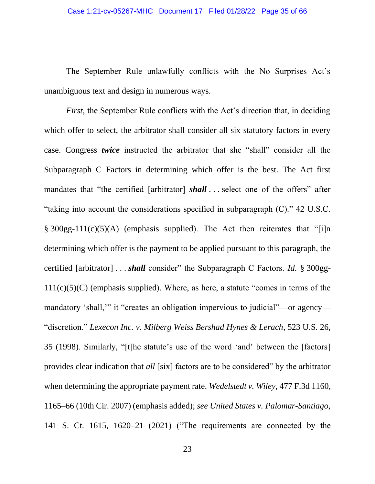The September Rule unlawfully conflicts with the No Surprises Act's unambiguous text and design in numerous ways.

*First*, the September Rule conflicts with the Act's direction that, in deciding which offer to select, the arbitrator shall consider all six statutory factors in every case. Congress *twice* instructed the arbitrator that she "shall" consider all the Subparagraph C Factors in determining which offer is the best. The Act first mandates that "the certified [arbitrator] *shall* . . . select one of the offers" after "taking into account the considerations specified in subparagraph (C)." 42 U.S.C.  $§ 300gg-111(c)(5)(A)$  (emphasis supplied). The Act then reiterates that "[i]n determining which offer is the payment to be applied pursuant to this paragraph, the certified [arbitrator] . . . *shall* consider" the Subparagraph C Factors. *Id.* § 300gg- $111(c)(5)(C)$  (emphasis supplied). Where, as here, a statute "comes in terms of the mandatory 'shall,'" it "creates an obligation impervious to judicial"—or agency— "discretion." *Lexecon Inc. v. Milberg Weiss Bershad Hynes & Lerach*, 523 U.S. 26, 35 (1998). Similarly, "[t]he statute's use of the word 'and' between the [factors] provides clear indication that *all* [six] factors are to be considered" by the arbitrator when determining the appropriate payment rate. *Wedelstedt v. Wiley*, 477 F.3d 1160, 1165–66 (10th Cir. 2007) (emphasis added); *see United States v. Palomar-Santiago*, 141 S. Ct. 1615, 1620–21 (2021) ("The requirements are connected by the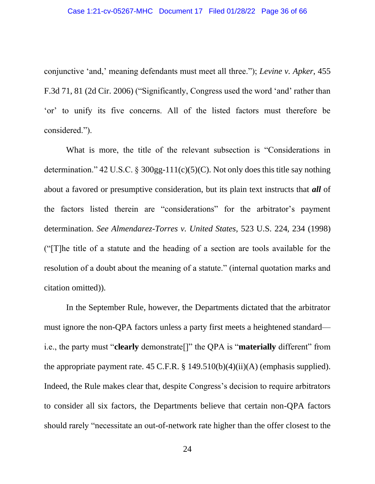conjunctive 'and,' meaning defendants must meet all three."); *Levine v. Apker*, 455 F.3d 71, 81 (2d Cir. 2006) ("Significantly, Congress used the word 'and' rather than 'or' to unify its five concerns. All of the listed factors must therefore be considered.").

What is more, the title of the relevant subsection is "Considerations in determination." 42 U.S.C. § 300gg-111(c)(5)(C). Not only does this title say nothing about a favored or presumptive consideration, but its plain text instructs that *all* of the factors listed therein are "considerations" for the arbitrator's payment determination. *See Almendarez-Torres v. United States*, 523 U.S. 224, 234 (1998) ("[T]he title of a statute and the heading of a section are tools available for the resolution of a doubt about the meaning of a statute." (internal quotation marks and citation omitted)).

In the September Rule, however, the Departments dictated that the arbitrator must ignore the non-QPA factors unless a party first meets a heightened standard i.e., the party must "**clearly** demonstrate[]" the QPA is "**materially** different" from the appropriate payment rate.  $45$  C.F.R. §  $149.510(b)(4)(ii)(A)$  (emphasis supplied). Indeed, the Rule makes clear that, despite Congress's decision to require arbitrators to consider all six factors, the Departments believe that certain non-QPA factors should rarely "necessitate an out-of-network rate higher than the offer closest to the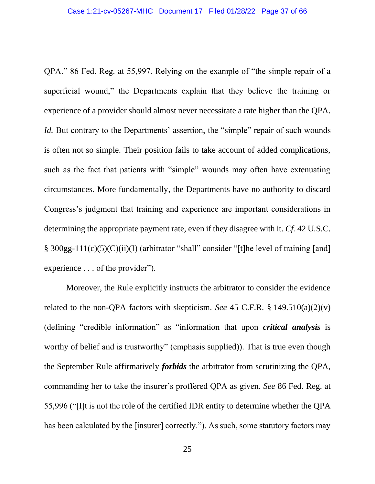QPA." 86 Fed. Reg. at 55,997. Relying on the example of "the simple repair of a superficial wound," the Departments explain that they believe the training or experience of a provider should almost never necessitate a rate higher than the QPA. *Id.* But contrary to the Departments' assertion, the "simple" repair of such wounds is often not so simple. Their position fails to take account of added complications, such as the fact that patients with "simple" wounds may often have extenuating circumstances. More fundamentally, the Departments have no authority to discard Congress's judgment that training and experience are important considerations in determining the appropriate payment rate, even if they disagree with it. *Cf.* 42 U.S.C. § 300gg-111(c)(5)(C)(ii)(I) (arbitrator "shall" consider "[t]he level of training [and] experience . . . of the provider").

Moreover, the Rule explicitly instructs the arbitrator to consider the evidence related to the non-QPA factors with skepticism. *See* 45 C.F.R. § 149.510(a)(2)(v) (defining "credible information" as "information that upon *critical analysis* is worthy of belief and is trustworthy" (emphasis supplied)). That is true even though the September Rule affirmatively *forbids* the arbitrator from scrutinizing the QPA, commanding her to take the insurer's proffered QPA as given. *See* 86 Fed. Reg. at 55,996 ("[I]t is not the role of the certified IDR entity to determine whether the QPA has been calculated by the [insurer] correctly."). As such, some statutory factors may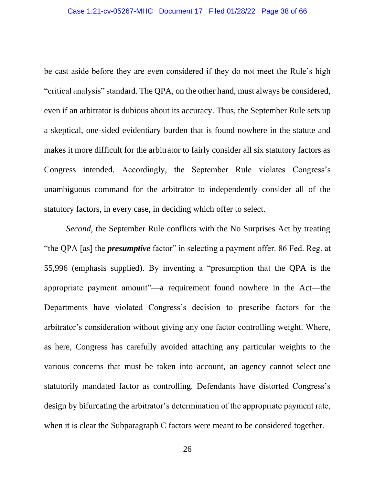be cast aside before they are even considered if they do not meet the Rule's high "critical analysis" standard. The QPA, on the other hand, must always be considered, even if an arbitrator is dubious about its accuracy. Thus, the September Rule sets up a skeptical, one-sided evidentiary burden that is found nowhere in the statute and makes it more difficult for the arbitrator to fairly consider all six statutory factors as Congress intended. Accordingly, the September Rule violates Congress's unambiguous command for the arbitrator to independently consider all of the statutory factors, in every case, in deciding which offer to select.

*Second*, the September Rule conflicts with the No Surprises Act by treating "the QPA [as] the *presumptive* factor" in selecting a payment offer. 86 Fed. Reg. at 55,996 (emphasis supplied). By inventing a "presumption that the QPA is the appropriate payment amount"—a requirement found nowhere in the Act—the Departments have violated Congress's decision to prescribe factors for the arbitrator's consideration without giving any one factor controlling weight. Where, as here, Congress has carefully avoided attaching any particular weights to the various concerns that must be taken into account, an agency cannot select one statutorily mandated factor as controlling. Defendants have distorted Congress's design by bifurcating the arbitrator's determination of the appropriate payment rate, when it is clear the Subparagraph C factors were meant to be considered together.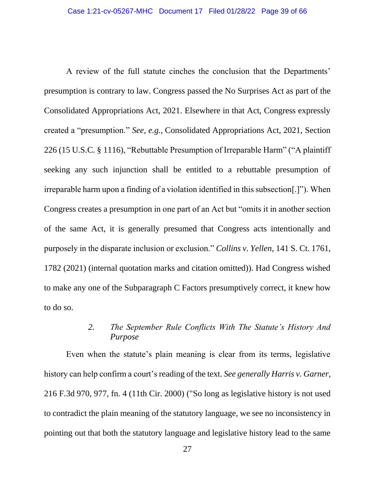A review of the full statute cinches the conclusion that the Departments' presumption is contrary to law. Congress passed the No Surprises Act as part of the Consolidated Appropriations Act, 2021. Elsewhere in that Act, Congress expressly created a "presumption." *See, e.g.*, Consolidated Appropriations Act, 2021, Section 226 (15 U.S.C. § 1116), "Rebuttable Presumption of Irreparable Harm" ("A plaintiff seeking any such injunction shall be entitled to a rebuttable presumption of irreparable harm upon a finding of a violation identified in this subsection[.]"). When Congress creates a presumption in one part of an Act but "omits it in another section of the same Act, it is generally presumed that Congress acts intentionally and purposely in the disparate inclusion or exclusion." *Collins v. Yellen*, 141 S. Ct. 1761, 1782 (2021) (internal quotation marks and citation omitted)). Had Congress wished to make any one of the Subparagraph C Factors presumptively correct, it knew how to do so.

## *2. The September Rule Conflicts With The Statute's History And Purpose*

Even when the statute's plain meaning is clear from its terms, legislative history can help confirm a court's reading of the text. *See generally Harris v. Garner*, 216 F.3d 970, 977, fn. 4 (11th Cir. 2000) ("So long as legislative history is not used to contradict the plain meaning of the statutory language, we see no inconsistency in pointing out that both the statutory language and legislative history lead to the same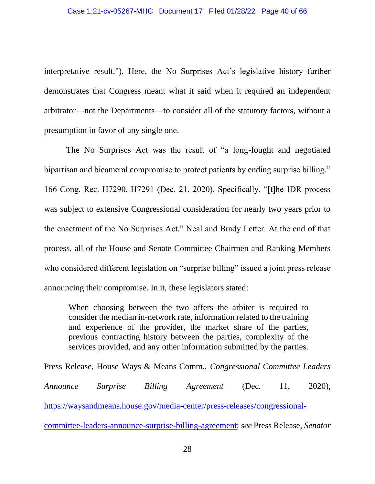interpretative result."). Here, the No Surprises Act's legislative history further demonstrates that Congress meant what it said when it required an independent arbitrator—not the Departments—to consider all of the statutory factors, without a presumption in favor of any single one.

The No Surprises Act was the result of "a long-fought and negotiated bipartisan and bicameral compromise to protect patients by ending surprise billing." 166 Cong. Rec. H7290, H7291 (Dec. 21, 2020). Specifically, "[t]he IDR process was subject to extensive Congressional consideration for nearly two years prior to the enactment of the No Surprises Act." Neal and Brady Letter. At the end of that process, all of the House and Senate Committee Chairmen and Ranking Members who considered different legislation on "surprise billing" issued a joint press release announcing their compromise. In it, these legislators stated:

When choosing between the two offers the arbiter is required to consider the median in-network rate, information related to the training and experience of the provider, the market share of the parties, previous contracting history between the parties, complexity of the services provided, and any other information submitted by the parties.

Press Release, House Ways & Means Comm., *Congressional Committee Leaders Announce Surprise Billing Agreement* (Dec. 11, 2020), [https://waysandmeans.house.gov/media-center/press-releases/congressional](https://waysandmeans.house.gov/media-center/press-releases/congressional-committee-leaders-announce-surprise-billing-agreement)[committee-leaders-announce-surprise-billing-agreement;](https://waysandmeans.house.gov/media-center/press-releases/congressional-committee-leaders-announce-surprise-billing-agreement) *see* Press Release, *Senator*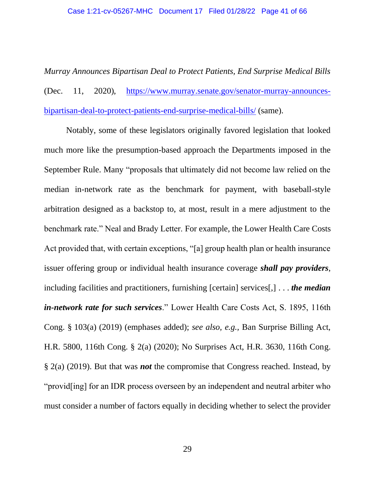*Murray Announces Bipartisan Deal to Protect Patients, End Surprise Medical Bills*  (Dec. 11, 2020), [https://www.murray.senate.gov/senator-murray-announces](https://www.murray.senate.gov/senator-murray-announces-bipartisan-deal-to-protect-patients-end-surprise-medical-bills/)[bipartisan-deal-to-protect-patients-end-surprise-medical-bills/](https://www.murray.senate.gov/senator-murray-announces-bipartisan-deal-to-protect-patients-end-surprise-medical-bills/) (same).

Notably, some of these legislators originally favored legislation that looked much more like the presumption-based approach the Departments imposed in the September Rule. Many "proposals that ultimately did not become law relied on the median in-network rate as the benchmark for payment, with baseball-style arbitration designed as a backstop to, at most, result in a mere adjustment to the benchmark rate." Neal and Brady Letter. For example, the Lower Health Care Costs Act provided that, with certain exceptions, "[a] group health plan or health insurance issuer offering group or individual health insurance coverage *shall pay providers*, including facilities and practitioners, furnishing [certain] services[,] . . . *the median in-network rate for such services*." Lower Health Care Costs Act, S. 1895, 116th Cong. § 103(a) (2019) (emphases added); *see also, e.g.,* Ban Surprise Billing Act, H.R. 5800, 116th Cong. § 2(a) (2020); No Surprises Act, H.R. 3630, 116th Cong. § 2(a) (2019). But that was *not* the compromise that Congress reached. Instead, by "provid[ing] for an IDR process overseen by an independent and neutral arbiter who must consider a number of factors equally in deciding whether to select the provider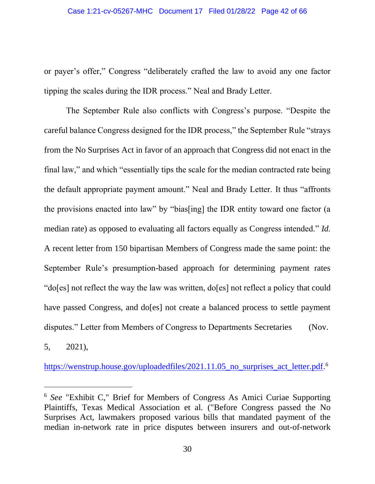or payer's offer," Congress "deliberately crafted the law to avoid any one factor tipping the scales during the IDR process." Neal and Brady Letter.

The September Rule also conflicts with Congress's purpose. "Despite the careful balance Congress designed for the IDR process," the September Rule "strays from the No Surprises Act in favor of an approach that Congress did not enact in the final law," and which "essentially tips the scale for the median contracted rate being the default appropriate payment amount." Neal and Brady Letter. It thus "affronts the provisions enacted into law" by "bias[ing] the IDR entity toward one factor (a median rate) as opposed to evaluating all factors equally as Congress intended." *Id.*  A recent letter from 150 bipartisan Members of Congress made the same point: the September Rule's presumption-based approach for determining payment rates "do[es] not reflect the way the law was written, do[es] not reflect a policy that could have passed Congress, and do[es] not create a balanced process to settle payment disputes." Letter from Members of Congress to Departments Secretaries (Nov.

5, 2021),

[https://wenstrup.house.gov/uploadedfiles/2021.11.05\\_no\\_surprises\\_act\\_letter.pdf.](https://wenstrup.house.gov/uploadedfiles/2021.11.05_no_surprises_act_letter.pdf)<sup>6</sup>

<sup>6</sup> *See* "Exhibit C," Brief for Members of Congress As Amici Curiae Supporting Plaintiffs, Texas Medical Association et al. ("Before Congress passed the No Surprises Act, lawmakers proposed various bills that mandated payment of the median in-network rate in price disputes between insurers and out-of-network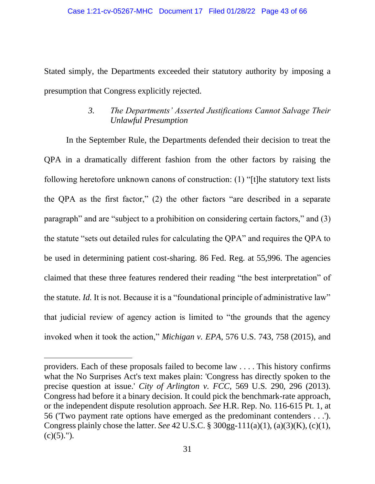Stated simply, the Departments exceeded their statutory authority by imposing a presumption that Congress explicitly rejected.

## *3. The Departments' Asserted Justifications Cannot Salvage Their Unlawful Presumption*

In the September Rule, the Departments defended their decision to treat the QPA in a dramatically different fashion from the other factors by raising the following heretofore unknown canons of construction: (1) "[t]he statutory text lists the QPA as the first factor," (2) the other factors "are described in a separate paragraph" and are "subject to a prohibition on considering certain factors," and (3) the statute "sets out detailed rules for calculating the QPA" and requires the QPA to be used in determining patient cost-sharing. 86 Fed. Reg. at 55,996. The agencies claimed that these three features rendered their reading "the best interpretation" of the statute. *Id.* It is not. Because it is a "foundational principle of administrative law" that judicial review of agency action is limited to "the grounds that the agency invoked when it took the action," *Michigan v. EPA*, 576 U.S. 743, 758 (2015), and

providers. Each of these proposals failed to become law . . . . This history confirms what the No Surprises Act's text makes plain: 'Congress has directly spoken to the precise question at issue.' *City of Arlington v. FCC*, 569 U.S. 290, 296 (2013). Congress had before it a binary decision. It could pick the benchmark-rate approach, or the independent dispute resolution approach. *See* H.R. Rep. No. 116-615 Pt. 1, at 56 ('Two payment rate options have emerged as the predominant contenders . . .'). Congress plainly chose the latter. *See* 42 U.S.C. § 300gg-111(a)(1), (a)(3)(K), (c)(1),  $(c)(5)$ .").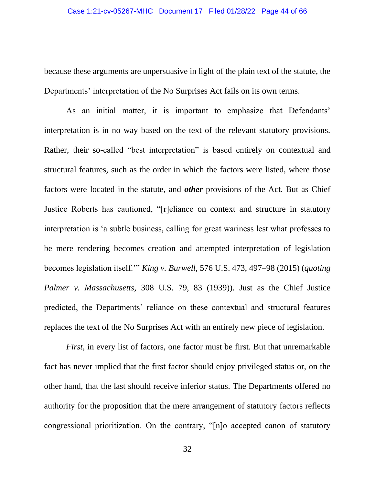because these arguments are unpersuasive in light of the plain text of the statute, the Departments' interpretation of the No Surprises Act fails on its own terms.

As an initial matter, it is important to emphasize that Defendants' interpretation is in no way based on the text of the relevant statutory provisions. Rather, their so-called "best interpretation" is based entirely on contextual and structural features, such as the order in which the factors were listed, where those factors were located in the statute, and *other* provisions of the Act. But as Chief Justice Roberts has cautioned, "[r]eliance on context and structure in statutory interpretation is 'a subtle business, calling for great wariness lest what professes to be mere rendering becomes creation and attempted interpretation of legislation becomes legislation itself.'" *King v. Burwell*, 576 U.S. 473, 497–98 (2015) (*quoting Palmer v. Massachusetts*, 308 U.S. 79, 83 (1939)). Just as the Chief Justice predicted, the Departments' reliance on these contextual and structural features replaces the text of the No Surprises Act with an entirely new piece of legislation.

*First*, in every list of factors, one factor must be first. But that unremarkable fact has never implied that the first factor should enjoy privileged status or, on the other hand, that the last should receive inferior status. The Departments offered no authority for the proposition that the mere arrangement of statutory factors reflects congressional prioritization. On the contrary, "[n]o accepted canon of statutory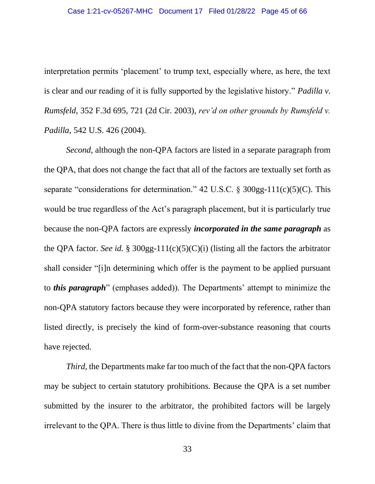interpretation permits 'placement' to trump text, especially where, as here, the text is clear and our reading of it is fully supported by the legislative history." *Padilla v. Rumsfeld*, 352 F.3d 695, 721 (2d Cir. 2003), *rev'd on other grounds by Rumsfeld v. Padilla*, 542 U.S. 426 (2004).

*Second*, although the non-QPA factors are listed in a separate paragraph from the QPA, that does not change the fact that all of the factors are textually set forth as separate "considerations for determination." 42 U.S.C.  $\delta$  300gg-111(c)(5)(C). This would be true regardless of the Act's paragraph placement, but it is particularly true because the non-QPA factors are expressly *incorporated in the same paragraph* as the QPA factor. *See id.* § 300gg-111(c)(5)(C)(i) (listing all the factors the arbitrator shall consider "[i]n determining which offer is the payment to be applied pursuant to *this paragraph*" (emphases added)). The Departments' attempt to minimize the non-QPA statutory factors because they were incorporated by reference, rather than listed directly, is precisely the kind of form-over-substance reasoning that courts have rejected.

*Third*, the Departments make far too much of the fact that the non-QPA factors may be subject to certain statutory prohibitions. Because the QPA is a set number submitted by the insurer to the arbitrator, the prohibited factors will be largely irrelevant to the QPA. There is thus little to divine from the Departments' claim that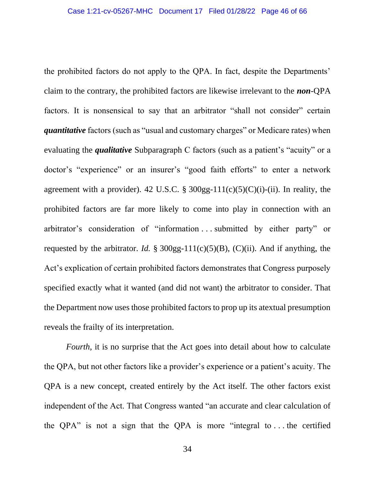the prohibited factors do not apply to the QPA. In fact, despite the Departments' claim to the contrary, the prohibited factors are likewise irrelevant to the *non*-QPA factors. It is nonsensical to say that an arbitrator "shall not consider" certain *quantitative* factors (such as "usual and customary charges" or Medicare rates) when evaluating the *qualitative* Subparagraph C factors (such as a patient's "acuity" or a doctor's "experience" or an insurer's "good faith efforts" to enter a network agreement with a provider). 42 U.S.C. §  $300gg-111(c)(5)(C)(i)$ -(ii). In reality, the prohibited factors are far more likely to come into play in connection with an arbitrator's consideration of "information . . . submitted by either party" or requested by the arbitrator. *Id.* § 300gg-111(c)(5)(B), (C)(ii). And if anything, the Act's explication of certain prohibited factors demonstrates that Congress purposely specified exactly what it wanted (and did not want) the arbitrator to consider. That the Department now uses those prohibited factors to prop up its atextual presumption reveals the frailty of its interpretation.

*Fourth*, it is no surprise that the Act goes into detail about how to calculate the QPA, but not other factors like a provider's experience or a patient's acuity. The QPA is a new concept, created entirely by the Act itself. The other factors exist independent of the Act. That Congress wanted "an accurate and clear calculation of the QPA" is not a sign that the QPA is more "integral to . . . the certified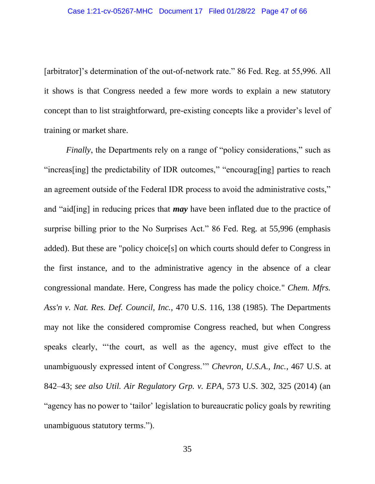[arbitrator]'s determination of the out-of-network rate." 86 Fed. Reg. at 55,996. All it shows is that Congress needed a few more words to explain a new statutory concept than to list straightforward, pre-existing concepts like a provider's level of training or market share.

*Finally*, the Departments rely on a range of "policy considerations," such as "increas[ing] the predictability of IDR outcomes," "encourag[ing] parties to reach an agreement outside of the Federal IDR process to avoid the administrative costs," and "aid[ing] in reducing prices that *may* have been inflated due to the practice of surprise billing prior to the No Surprises Act." 86 Fed. Reg. at 55,996 (emphasis added). But these are "policy choice[s] on which courts should defer to Congress in the first instance, and to the administrative agency in the absence of a clear congressional mandate. Here, Congress has made the policy choice." *Chem. Mfrs. Ass'n v. Nat. Res. Def. Council, Inc.*, 470 U.S. 116, 138 (1985). The Departments may not like the considered compromise Congress reached, but when Congress speaks clearly, "'the court, as well as the agency, must give effect to the unambiguously expressed intent of Congress.'" *Chevron, U.S.A., Inc.*, 467 U.S. at 842–43; *see also Util. Air Regulatory Grp. v. EPA*, 573 U.S. 302, 325 (2014) (an "agency has no power to 'tailor' legislation to bureaucratic policy goals by rewriting unambiguous statutory terms.").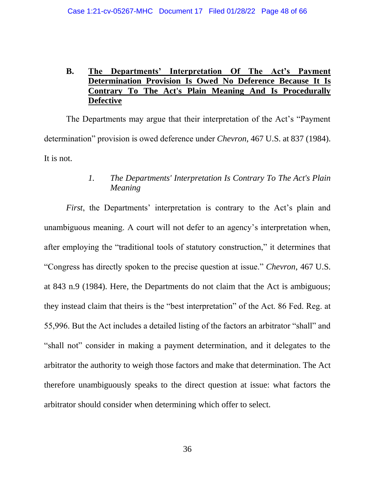## **B. The Departments' Interpretation Of The Act's Payment Determination Provision Is Owed No Deference Because It Is Contrary To The Act's Plain Meaning And Is Procedurally Defective**

The Departments may argue that their interpretation of the Act's "Payment determination" provision is owed deference under *Chevron*, 467 U.S. at 837 (1984). It is not.

## *1. The Departments' Interpretation Is Contrary To The Act's Plain Meaning*

*First*, the Departments' interpretation is contrary to the Act's plain and unambiguous meaning. A court will not defer to an agency's interpretation when, after employing the "traditional tools of statutory construction," it determines that "Congress has directly spoken to the precise question at issue." *Chevron*, 467 U.S. at 843 n.9 (1984). Here, the Departments do not claim that the Act is ambiguous; they instead claim that theirs is the "best interpretation" of the Act. 86 Fed. Reg. at 55,996. But the Act includes a detailed listing of the factors an arbitrator "shall" and "shall not" consider in making a payment determination, and it delegates to the arbitrator the authority to weigh those factors and make that determination. The Act therefore unambiguously speaks to the direct question at issue: what factors the arbitrator should consider when determining which offer to select.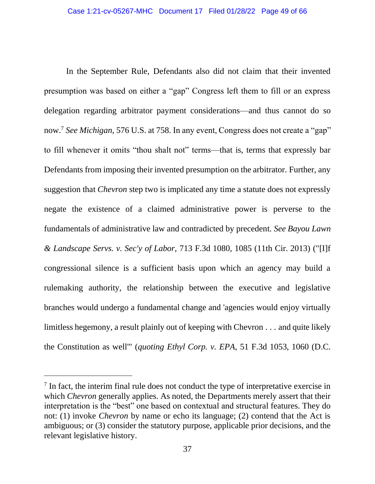In the September Rule, Defendants also did not claim that their invented presumption was based on either a "gap" Congress left them to fill or an express delegation regarding arbitrator payment considerations—and thus cannot do so now.<sup>7</sup> *See Michigan*, 576 U.S. at 758. In any event, Congress does not create a "gap" to fill whenever it omits "thou shalt not" terms—that is, terms that expressly bar Defendants from imposing their invented presumption on the arbitrator. Further*,* any suggestion that *Chevron* step two is implicated any time a statute does not expressly negate the existence of a claimed administrative power is perverse to the fundamentals of administrative law and contradicted by precedent. *See Bayou Lawn & Landscape Servs. v. Sec'y of Labor*, 713 F.3d 1080, 1085 (11th Cir. 2013) ("[I]f congressional silence is a sufficient basis upon which an agency may build a rulemaking authority, the relationship between the executive and legislative branches would undergo a fundamental change and 'agencies would enjoy virtually limitless hegemony, a result plainly out of keeping with Chevron . . . and quite likely the Constitution as well'" (*quoting Ethyl Corp. v. EPA*, 51 F.3d 1053, 1060 (D.C.

 $<sup>7</sup>$  In fact, the interim final rule does not conduct the type of interpretative exercise in</sup> which *Chevron* generally applies. As noted, the Departments merely assert that their interpretation is the "best" one based on contextual and structural features. They do not: (1) invoke *Chevron* by name or echo its language; (2) contend that the Act is ambiguous; or (3) consider the statutory purpose, applicable prior decisions, and the relevant legislative history.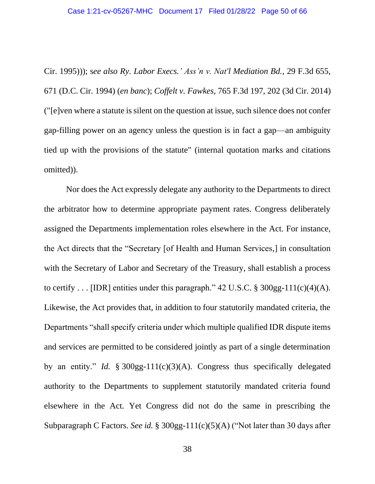Cir. 1995))); s*ee also Ry. Labor Execs.' Ass'n v. Nat'l Mediation Bd.*, 29 F.3d 655, 671 (D.C. Cir. 1994) (*en banc*); *Coffelt v. Fawkes*, 765 F.3d 197, 202 (3d Cir. 2014) ("[e]ven where a statute is silent on the question at issue, such silence does not confer gap-filling power on an agency unless the question is in fact a gap—an ambiguity tied up with the provisions of the statute" (internal quotation marks and citations omitted)).

Nor does the Act expressly delegate any authority to the Departments to direct the arbitrator how to determine appropriate payment rates. Congress deliberately assigned the Departments implementation roles elsewhere in the Act. For instance, the Act directs that the "Secretary [of Health and Human Services,] in consultation with the Secretary of Labor and Secretary of the Treasury, shall establish a process to certify . . . [IDR] entities under this paragraph."  $42 \text{ U.S.C.}$  §  $300 \text{gg-}111 \text{(c)}(4)(\text{A})$ . Likewise, the Act provides that, in addition to four statutorily mandated criteria, the Departments "shall specify criteria under which multiple qualified IDR dispute items and services are permitted to be considered jointly as part of a single determination by an entity." *Id.* § 300gg-111(c)(3)(A). Congress thus specifically delegated authority to the Departments to supplement statutorily mandated criteria found elsewhere in the Act. Yet Congress did not do the same in prescribing the Subparagraph C Factors. *See id.* § 300gg-111(c)(5)(A) ("Not later than 30 days after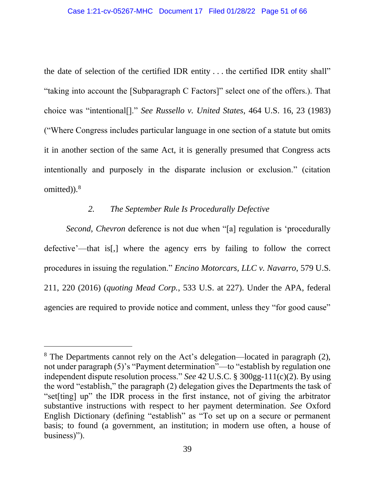the date of selection of the certified IDR entity . . . the certified IDR entity shall" "taking into account the [Subparagraph C Factors]" select one of the offers.). That choice was "intentional[]." *See Russello v. United States*, 464 U.S. 16, 23 (1983) ("Where Congress includes particular language in one section of a statute but omits it in another section of the same Act, it is generally presumed that Congress acts intentionally and purposely in the disparate inclusion or exclusion." (citation omitted)).<sup>8</sup>

#### *2. The September Rule Is Procedurally Defective*

*Second*, *Chevron* deference is not due when "[a] regulation is 'procedurally defective'—that is[,] where the agency errs by failing to follow the correct procedures in issuing the regulation." *Encino Motorcars, LLC v. Navarro*, 579 U.S. 211, 220 (2016) (*quoting Mead Corp.*, 533 U.S. at 227). Under the APA, federal agencies are required to provide notice and comment, unless they "for good cause"

<sup>8</sup> The Departments cannot rely on the Act's delegation—located in paragraph (2), not under paragraph (5)'s "Payment determination"—to "establish by regulation one independent dispute resolution process." *See* 42 U.S.C. § 300gg-111(c)(2). By using the word "establish," the paragraph (2) delegation gives the Departments the task of "set[ting] up" the IDR process in the first instance, not of giving the arbitrator substantive instructions with respect to her payment determination. *See* Oxford English Dictionary (defining "establish" as "To set up on a secure or permanent basis; to found (a government, an institution; in modern use often, a house of business)").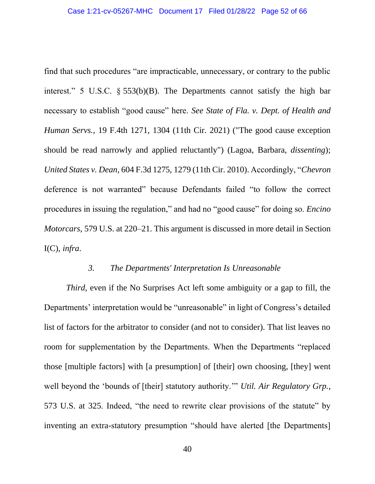find that such procedures "are impracticable, unnecessary, or contrary to the public interest." 5 U.S.C. § 553(b)(B). The Departments cannot satisfy the high bar necessary to establish "good cause" here. *See State of Fla. v. Dept. of Health and Human Servs.*, 19 F.4th 1271, 1304 (11th Cir. 2021) ("The good cause exception should be read narrowly and applied reluctantly") (Lagoa, Barbara, *dissenting*); *United States v. Dean*, 604 F.3d 1275, 1279 (11th Cir. 2010). Accordingly, "*Chevron* deference is not warranted" because Defendants failed "to follow the correct procedures in issuing the regulation," and had no "good cause" for doing so. *Encino Motorcars*, 579 U.S. at 220–21. This argument is discussed in more detail in Section I(C), *infra*.

#### *3. The Departments' Interpretation Is Unreasonable*

*Third*, even if the No Surprises Act left some ambiguity or a gap to fill, the Departments' interpretation would be "unreasonable" in light of Congress's detailed list of factors for the arbitrator to consider (and not to consider). That list leaves no room for supplementation by the Departments. When the Departments "replaced those [multiple factors] with [a presumption] of [their] own choosing, [they] went well beyond the 'bounds of [their] statutory authority.'" *Util. Air Regulatory Grp.*, 573 U.S. at 325. Indeed, "the need to rewrite clear provisions of the statute" by inventing an extra-statutory presumption "should have alerted [the Departments]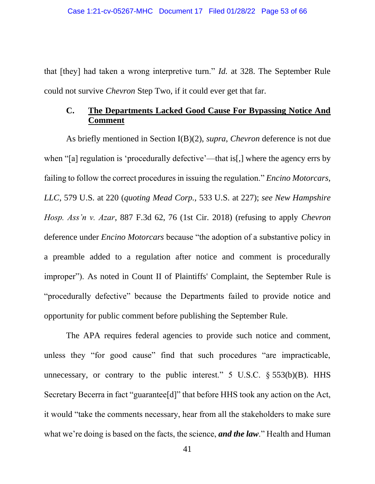that [they] had taken a wrong interpretive turn." *Id.* at 328. The September Rule could not survive *Chevron* Step Two, if it could ever get that far.

## **C. The Departments Lacked Good Cause For Bypassing Notice And Comment**

As briefly mentioned in Section I(B)(2), *supra*, *Chevron* deference is not due when "[a] regulation is 'procedurally defective'—that is[,] where the agency errs by failing to follow the correct procedures in issuing the regulation." *Encino Motorcars, LLC*, 579 U.S. at 220 (*quoting Mead Corp.*, 533 U.S. at 227); *see New Hampshire Hosp. Ass'n v. Azar*, 887 F.3d 62, 76 (1st Cir. 2018) (refusing to apply *Chevron* deference under *Encino Motorcars* because "the adoption of a substantive policy in a preamble added to a regulation after notice and comment is procedurally improper"). As noted in Count II of Plaintiffs' Complaint, the September Rule is "procedurally defective" because the Departments failed to provide notice and opportunity for public comment before publishing the September Rule.

The APA requires federal agencies to provide such notice and comment, unless they "for good cause" find that such procedures "are impracticable, unnecessary, or contrary to the public interest."  $5 \text{ U.S.C. }$   $\S 553(b)(B)$ . HHS Secretary Becerra in fact "guarantee<sup>[d]"</sup> that before HHS took any action on the Act, it would "take the comments necessary, hear from all the stakeholders to make sure what we're doing is based on the facts, the science, *and the law*." Health and Human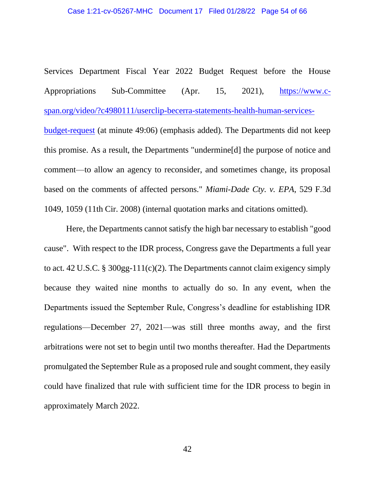Services Department Fiscal Year 2022 Budget Request before the House Appropriations Sub-Committee (Apr. 15, 2021), [https://www.c](https://www.c-span.org/video/?c4980111/userclip-becerra-statements-health-human-services-budget-request)[span.org/video/?c4980111/userclip-becerra-statements-health-human-services](https://www.c-span.org/video/?c4980111/userclip-becerra-statements-health-human-services-budget-request)[budget-request](https://www.c-span.org/video/?c4980111/userclip-becerra-statements-health-human-services-budget-request) (at minute 49:06) (emphasis added). The Departments did not keep this promise. As a result, the Departments "undermine[d] the purpose of notice and comment—to allow an agency to reconsider, and sometimes change, its proposal based on the comments of affected persons." *Miami-Dade Cty. v. EPA*, 529 F.3d 1049, 1059 (11th Cir. 2008) (internal quotation marks and citations omitted).

Here, the Departments cannot satisfy the high bar necessary to establish "good cause". With respect to the IDR process, Congress gave the Departments a full year to act. 42 U.S.C. § 300gg-111(c)(2). The Departments cannot claim exigency simply because they waited nine months to actually do so. In any event, when the Departments issued the September Rule, Congress's deadline for establishing IDR regulations—December 27, 2021—was still three months away, and the first arbitrations were not set to begin until two months thereafter. Had the Departments promulgated the September Rule as a proposed rule and sought comment, they easily could have finalized that rule with sufficient time for the IDR process to begin in approximately March 2022.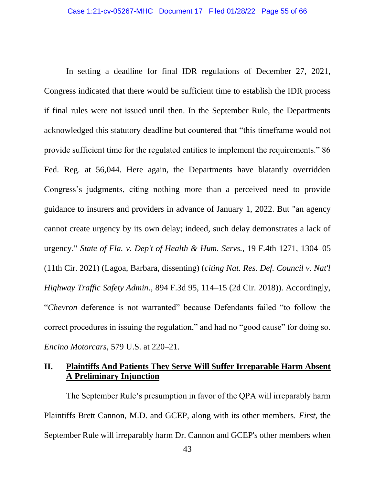In setting a deadline for final IDR regulations of December 27, 2021, Congress indicated that there would be sufficient time to establish the IDR process if final rules were not issued until then. In the September Rule, the Departments acknowledged this statutory deadline but countered that "this timeframe would not provide sufficient time for the regulated entities to implement the requirements." 86 Fed. Reg. at 56,044. Here again, the Departments have blatantly overridden Congress's judgments, citing nothing more than a perceived need to provide guidance to insurers and providers in advance of January 1, 2022. But "an agency cannot create urgency by its own delay; indeed, such delay demonstrates a lack of urgency." *State of Fla. v. Dep't of Health & Hum. Servs.*, 19 F.4th 1271, 1304–05 (11th Cir. 2021) (Lagoa, Barbara, dissenting) (*citing Nat. Res. Def. Council v. Nat'l Highway Traffic Safety Admin*., 894 F.3d 95, 114–15 (2d Cir. 2018)). Accordingly, "*Chevron* deference is not warranted" because Defendants failed "to follow the correct procedures in issuing the regulation," and had no "good cause" for doing so. *Encino Motorcars*, 579 U.S. at 220–21.

## **II. Plaintiffs And Patients They Serve Will Suffer Irreparable Harm Absent A Preliminary Injunction**

The September Rule's presumption in favor of the QPA will irreparably harm Plaintiffs Brett Cannon, M.D. and GCEP, along with its other members. *First*, the September Rule will irreparably harm Dr. Cannon and GCEP's other members when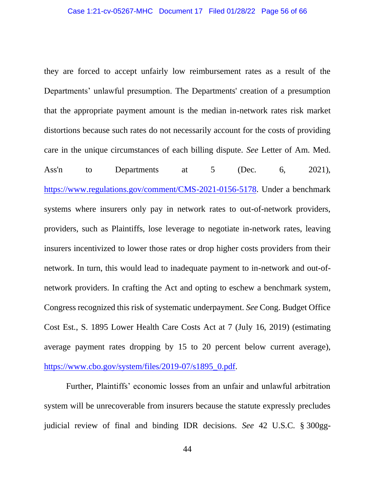they are forced to accept unfairly low reimbursement rates as a result of the Departments' unlawful presumption. The Departments' creation of a presumption that the appropriate payment amount is the median in-network rates risk market distortions because such rates do not necessarily account for the costs of providing care in the unique circumstances of each billing dispute. *See* Letter of Am. Med. Ass'n to Departments at 5 (Dec. 6, 2021), [https://www.regulations.gov/comment/CMS-2021-0156-5178.](https://www.regulations.gov/comment/CMS-2021-0156-5178) Under a benchmark systems where insurers only pay in network rates to out-of-network providers, providers, such as Plaintiffs, lose leverage to negotiate in-network rates, leaving insurers incentivized to lower those rates or drop higher costs providers from their network. In turn, this would lead to inadequate payment to in-network and out-ofnetwork providers. In crafting the Act and opting to eschew a benchmark system, Congress recognized this risk of systematic underpayment. *See* Cong. Budget Office Cost Est., S. 1895 Lower Health Care Costs Act at 7 (July 16, 2019) (estimating average payment rates dropping by 15 to 20 percent below current average), [https://www.cbo.gov/system/files/2019-07/s1895\\_0.pdf.](https://www.cbo.gov/system/files/2019-07/s1895_0.pdf)

Further, Plaintiffs' economic losses from an unfair and unlawful arbitration system will be unrecoverable from insurers because the statute expressly precludes judicial review of final and binding IDR decisions. *See* 42 U.S.C. § 300gg-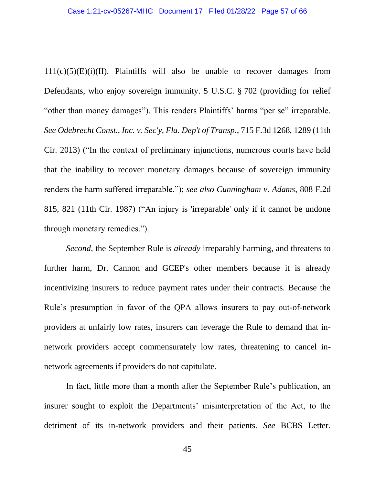$111(c)(5)(E)(i)(II)$ . Plaintiffs will also be unable to recover damages from Defendants, who enjoy sovereign immunity. 5 U.S.C. § 702 (providing for relief "other than money damages"). This renders Plaintiffs' harms "per se" irreparable. *See Odebrecht Const., Inc. v. Sec'y, Fla. Dep't of Transp.*, 715 F.3d 1268, 1289 (11th Cir. 2013) ("In the context of preliminary injunctions, numerous courts have held that the inability to recover monetary damages because of sovereign immunity renders the harm suffered irreparable."); *see also Cunningham v. Adams*, 808 F.2d 815, 821 (11th Cir. 1987) ("An injury is 'irreparable' only if it cannot be undone through monetary remedies.").

*Second*, the September Rule is *already* irreparably harming, and threatens to further harm, Dr. Cannon and GCEP's other members because it is already incentivizing insurers to reduce payment rates under their contracts. Because the Rule's presumption in favor of the QPA allows insurers to pay out-of-network providers at unfairly low rates, insurers can leverage the Rule to demand that innetwork providers accept commensurately low rates, threatening to cancel innetwork agreements if providers do not capitulate.

In fact, little more than a month after the September Rule's publication, an insurer sought to exploit the Departments' misinterpretation of the Act, to the detriment of its in-network providers and their patients. *See* BCBS Letter.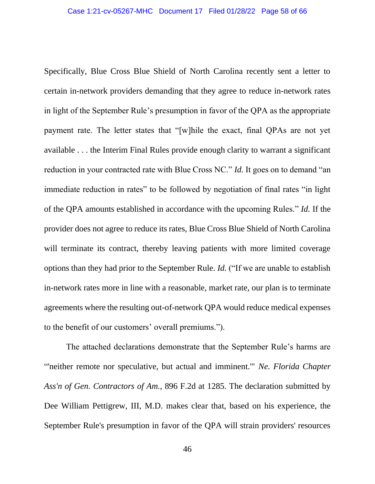Specifically, Blue Cross Blue Shield of North Carolina recently sent a letter to certain in-network providers demanding that they agree to reduce in-network rates in light of the September Rule's presumption in favor of the QPA as the appropriate payment rate. The letter states that "[w]hile the exact, final QPAs are not yet available . . . the Interim Final Rules provide enough clarity to warrant a significant reduction in your contracted rate with Blue Cross NC." *Id.* It goes on to demand "an immediate reduction in rates" to be followed by negotiation of final rates "in light of the QPA amounts established in accordance with the upcoming Rules." *Id.* If the provider does not agree to reduce its rates, Blue Cross Blue Shield of North Carolina will terminate its contract, thereby leaving patients with more limited coverage options than they had prior to the September Rule. *Id.* ("If we are unable to establish in-network rates more in line with a reasonable, market rate, our plan is to terminate agreements where the resulting out-of-network QPA would reduce medical expenses to the benefit of our customers' overall premiums.").

The attached declarations demonstrate that the September Rule's harms are "'neither remote nor speculative, but actual and imminent.'" *Ne. Florida Chapter Ass'n of Gen. Contractors of Am.*, 896 F.2d at 1285. The declaration submitted by Dee William Pettigrew, III, M.D. makes clear that, based on his experience, the September Rule's presumption in favor of the QPA will strain providers' resources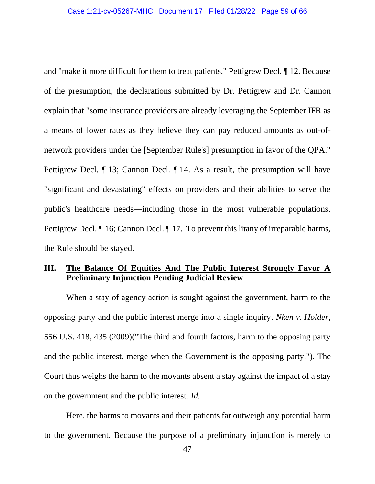and "make it more difficult for them to treat patients." Pettigrew Decl. ¶ 12. Because of the presumption, the declarations submitted by Dr. Pettigrew and Dr. Cannon explain that "some insurance providers are already leveraging the September IFR as a means of lower rates as they believe they can pay reduced amounts as out-ofnetwork providers under the [September Rule's] presumption in favor of the QPA." Pettigrew Decl. ¶ 13; Cannon Decl. ¶ 14. As a result, the presumption will have "significant and devastating" effects on providers and their abilities to serve the public's healthcare needs—including those in the most vulnerable populations. Pettigrew Decl.  $\P$  16; Cannon Decl.  $\P$  17. To prevent this litany of irreparable harms, the Rule should be stayed.

## **III. The Balance Of Equities And The Public Interest Strongly Favor A Preliminary Injunction Pending Judicial Review**

When a stay of agency action is sought against the government, harm to the opposing party and the public interest merge into a single inquiry. *Nken v. Holder*, 556 U.S. 418, 435 (2009)("The third and fourth factors, harm to the opposing party and the public interest, merge when the Government is the opposing party."). The Court thus weighs the harm to the movants absent a stay against the impact of a stay on the government and the public interest. *Id.*

Here, the harms to movants and their patients far outweigh any potential harm to the government. Because the purpose of a preliminary injunction is merely to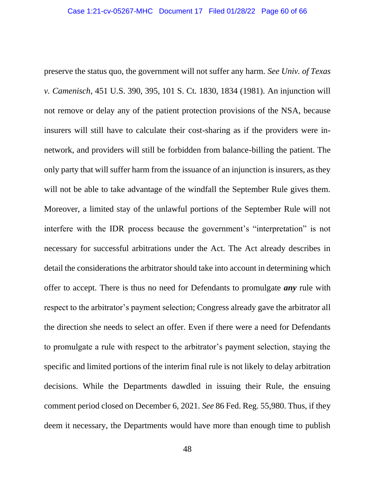preserve the status quo, the government will not suffer any harm. *See Univ. of Texas v. Camenisch*, 451 U.S. 390, 395, 101 S. Ct. 1830, 1834 (1981). An injunction will not remove or delay any of the patient protection provisions of the NSA, because insurers will still have to calculate their cost-sharing as if the providers were innetwork, and providers will still be forbidden from balance-billing the patient. The only party that will suffer harm from the issuance of an injunction is insurers, as they will not be able to take advantage of the windfall the September Rule gives them. Moreover, a limited stay of the unlawful portions of the September Rule will not interfere with the IDR process because the government's "interpretation" is not necessary for successful arbitrations under the Act. The Act already describes in detail the considerations the arbitrator should take into account in determining which offer to accept. There is thus no need for Defendants to promulgate *any* rule with respect to the arbitrator's payment selection; Congress already gave the arbitrator all the direction she needs to select an offer. Even if there were a need for Defendants to promulgate a rule with respect to the arbitrator's payment selection, staying the specific and limited portions of the interim final rule is not likely to delay arbitration decisions. While the Departments dawdled in issuing their Rule, the ensuing comment period closed on December 6, 2021. *See* 86 Fed. Reg. 55,980. Thus, if they deem it necessary, the Departments would have more than enough time to publish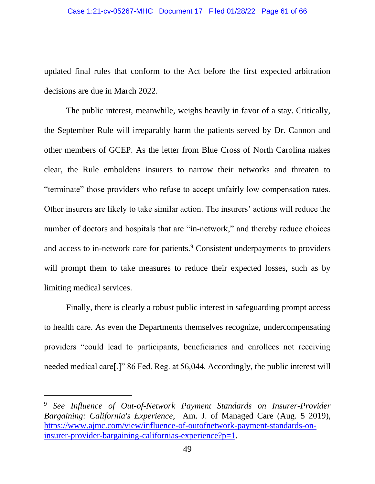updated final rules that conform to the Act before the first expected arbitration decisions are due in March 2022.

The public interest, meanwhile, weighs heavily in favor of a stay. Critically, the September Rule will irreparably harm the patients served by Dr. Cannon and other members of GCEP. As the letter from Blue Cross of North Carolina makes clear, the Rule emboldens insurers to narrow their networks and threaten to "terminate" those providers who refuse to accept unfairly low compensation rates. Other insurers are likely to take similar action. The insurers' actions will reduce the number of doctors and hospitals that are "in-network," and thereby reduce choices and access to in-network care for patients.<sup>9</sup> Consistent underpayments to providers will prompt them to take measures to reduce their expected losses, such as by limiting medical services.

Finally, there is clearly a robust public interest in safeguarding prompt access to health care. As even the Departments themselves recognize, undercompensating providers "could lead to participants, beneficiaries and enrollees not receiving needed medical care[.]" 86 Fed. Reg. at 56,044. Accordingly, the public interest will

<sup>9</sup> *See Influence of Out-of-Network Payment Standards on Insurer-Provider Bargaining: California's Experience*, Am. J. of Managed Care (Aug. 5 2019), [https://www.ajmc.com/view/influence-of-outofnetwork-payment-standards-on](https://www.ajmc.com/view/influence-of-outofnetwork-payment-standards-on-insurer-provider-bargaining-californias-experience?p=1)[insurer-provider-bargaining-californias-experience?p=1.](https://www.ajmc.com/view/influence-of-outofnetwork-payment-standards-on-insurer-provider-bargaining-californias-experience?p=1)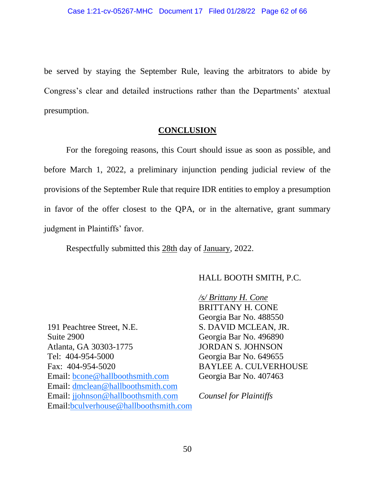be served by staying the September Rule, leaving the arbitrators to abide by Congress's clear and detailed instructions rather than the Departments' atextual presumption.

### **CONCLUSION**

For the foregoing reasons, this Court should issue as soon as possible, and before March 1, 2022, a preliminary injunction pending judicial review of the provisions of the September Rule that require IDR entities to employ a presumption in favor of the offer closest to the QPA, or in the alternative, grant summary judgment in Plaintiffs' favor.

Respectfully submitted this 28th day of January, 2022.

#### HALL BOOTH SMITH, P.C.

191 Peachtree Street, N.E. Suite 2900 Atlanta, GA 30303-1775 Tel: 404-954-5000 Fax: 404-954-5020 Email: [bcone@hallboothsmith.com](mailto:bcone@hallboothsmith.com) Email: [dmclean@hallboothsmith.com](mailto:dmclean@hallboothsmith.com) Email: [jjohnson@hallboothsmith.com](mailto:jjohnson@hallboothsmith.com) Email[:bculverhouse@hallboothsmith.com](mailto:bculverhouse@hallboothsmith.com)

*/s/ Brittany H. Cone* BRITTANY H. CONE Georgia Bar No. 488550 S. DAVID MCLEAN, JR. Georgia Bar No. 496890 JORDAN S. JOHNSON Georgia Bar No. 649655 BAYLEE A. CULVERHOUSE Georgia Bar No. 407463

*Counsel for Plaintiffs*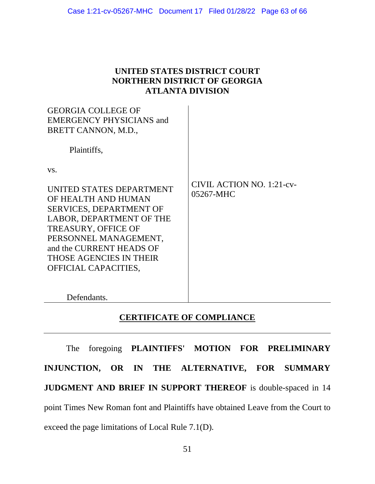| UNITED STATES DISTRICT COURT        |
|-------------------------------------|
| <b>NORTHERN DISTRICT OF GEORGIA</b> |
| <b>ATLANTA DIVISION</b>             |

| <b>GEORGIA COLLEGE OF</b><br><b>EMERGENCY PHYSICIANS and</b><br>BRETT CANNON, M.D.,<br>Plaintiffs,                                                                                                                                                         |                                        |
|------------------------------------------------------------------------------------------------------------------------------------------------------------------------------------------------------------------------------------------------------------|----------------------------------------|
| VS.<br>UNITED STATES DEPARTMENT<br>OF HEALTH AND HUMAN<br><b>SERVICES, DEPARTMENT OF</b><br>LABOR, DEPARTMENT OF THE<br><b>TREASURY, OFFICE OF</b><br>PERSONNEL MANAGEMENT,<br>and the CURRENT HEADS OF<br>THOSE AGENCIES IN THEIR<br>OFFICIAL CAPACITIES, | CIVIL ACTION NO. 1:21-cv-<br>05267-MHC |
| Defendants.                                                                                                                                                                                                                                                |                                        |

## **CERTIFICATE OF COMPLIANCE**

The foregoing **PLAINTIFFS' MOTION FOR PRELIMINARY INJUNCTION, OR IN THE ALTERNATIVE, FOR SUMMARY JUDGMENT AND BRIEF IN SUPPORT THEREOF** is double-spaced in 14 point Times New Roman font and Plaintiffs have obtained Leave from the Court to exceed the page limitations of Local Rule 7.1(D).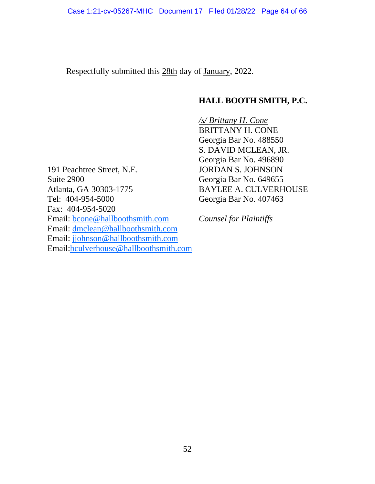Respectfully submitted this 28th day of January, 2022.

# **HALL BOOTH SMITH, P.C.**

*/s/ Brittany H. Cone* BRITTANY H. CONE Georgia Bar No. 488550 S. DAVID MCLEAN, JR. Georgia Bar No. 496890 JORDAN S. JOHNSON Georgia Bar No. 649655 BAYLEE A. CULVERHOUSE Georgia Bar No. 407463

191 Peachtree Street, N.E. Suite 2900 Atlanta, GA 30303-1775 Tel: 404-954-5000 Fax: 404-954-5020 Email: [bcone@hallboothsmith.com](mailto:bcone@hallboothsmith.com) Email: [dmclean@hallboothsmith.com](mailto:dmclean@hallboothsmith.com) Email: [jjohnson@hallboothsmith.com](mailto:jjohnson@hallboothsmith.com) Email[:bculverhouse@hallboothsmith.com](mailto:bculverhouse@hallboothsmith.com)

*Counsel for Plaintiffs*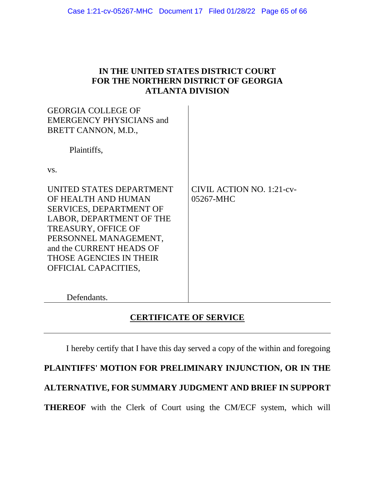## **IN THE UNITED STATES DISTRICT COURT FOR THE NORTHERN DISTRICT OF GEORGIA ATLANTA DIVISION**

| <b>GEORGIA COLLEGE OF</b><br><b>EMERGENCY PHYSICIANS and</b> |                           |
|--------------------------------------------------------------|---------------------------|
| BRETT CANNON, M.D.,                                          |                           |
| Plaintiffs,                                                  |                           |
| VS.                                                          |                           |
| UNITED STATES DEPARTMENT                                     | CIVIL ACTION NO. 1:21-cv- |
| OF HEALTH AND HUMAN                                          | 05267-MHC                 |
| <b>SERVICES, DEPARTMENT OF</b>                               |                           |
| LABOR, DEPARTMENT OF THE                                     |                           |
| <b>TREASURY, OFFICE OF</b>                                   |                           |
| PERSONNEL MANAGEMENT,                                        |                           |
| and the CURRENT HEADS OF                                     |                           |
| <b>THOSE AGENCIES IN THEIR</b>                               |                           |
| OFFICIAL CAPACITIES,                                         |                           |
|                                                              |                           |
| Defendants.                                                  |                           |

# **CERTIFICATE OF SERVICE**

I hereby certify that I have this day served a copy of the within and foregoing

**PLAINTIFFS' MOTION FOR PRELIMINARY INJUNCTION, OR IN THE** 

**ALTERNATIVE, FOR SUMMARY JUDGMENT AND BRIEF IN SUPPORT** 

**THEREOF** with the Clerk of Court using the CM/ECF system, which will